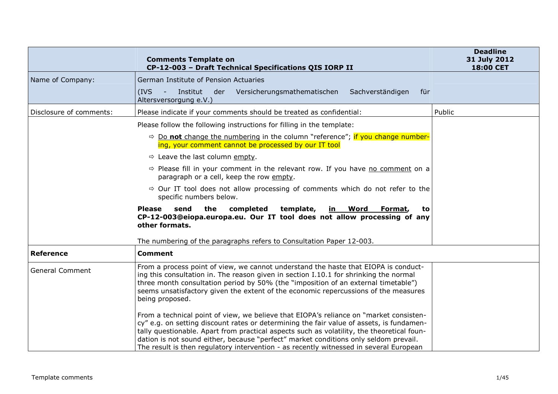|                         | <b>Comments Template on</b><br>CP-12-003 - Draft Technical Specifications QIS IORP II                                                                                                                                                                                                                                                                                                                                                                              | <b>Deadline</b><br>31 July 2012<br>18:00 CET |
|-------------------------|--------------------------------------------------------------------------------------------------------------------------------------------------------------------------------------------------------------------------------------------------------------------------------------------------------------------------------------------------------------------------------------------------------------------------------------------------------------------|----------------------------------------------|
| Name of Company:        | German Institute of Pension Actuaries<br>Sachverständigen<br>Institut<br>der<br>Versicherungsmathematischen<br>$(IVS -$<br>für<br>Altersversorgung e.V.)                                                                                                                                                                                                                                                                                                           |                                              |
| Disclosure of comments: | Please indicate if your comments should be treated as confidential:                                                                                                                                                                                                                                                                                                                                                                                                | Public                                       |
|                         | Please follow the following instructions for filling in the template:                                                                                                                                                                                                                                                                                                                                                                                              |                                              |
|                         | $\Rightarrow$ Do not change the numbering in the column "reference"; if you change number-<br>ing, your comment cannot be processed by our IT tool                                                                                                                                                                                                                                                                                                                 |                                              |
|                         | $\Rightarrow$ Leave the last column empty.                                                                                                                                                                                                                                                                                                                                                                                                                         |                                              |
|                         | $\Rightarrow$ Please fill in your comment in the relevant row. If you have no comment on a<br>paragraph or a cell, keep the row empty.                                                                                                                                                                                                                                                                                                                             |                                              |
|                         | $\Rightarrow$ Our IT tool does not allow processing of comments which do not refer to the<br>specific numbers below.                                                                                                                                                                                                                                                                                                                                               |                                              |
|                         | send the completed<br><b>Please</b><br>template,<br>in Word<br>Format,<br>to<br>CP-12-003@eiopa.europa.eu. Our IT tool does not allow processing of any<br>other formats.                                                                                                                                                                                                                                                                                          |                                              |
|                         | The numbering of the paragraphs refers to Consultation Paper 12-003.                                                                                                                                                                                                                                                                                                                                                                                               |                                              |
| <b>Reference</b>        | <b>Comment</b>                                                                                                                                                                                                                                                                                                                                                                                                                                                     |                                              |
| <b>General Comment</b>  | From a process point of view, we cannot understand the haste that EIOPA is conduct-<br>ing this consultation in. The reason given in section I.10.1 for shrinking the normal<br>three month consultation period by 50% (the "imposition of an external timetable")<br>seems unsatisfactory given the extent of the economic repercussions of the measures<br>being proposed.                                                                                       |                                              |
|                         | From a technical point of view, we believe that EIOPA's reliance on "market consisten-<br>cy" e.g. on setting discount rates or determining the fair value of assets, is fundamen-<br>tally questionable. Apart from practical aspects such as volatility, the theoretical foun-<br>dation is not sound either, because "perfect" market conditions only seldom prevail.<br>The result is then regulatory intervention - as recently witnessed in several European |                                              |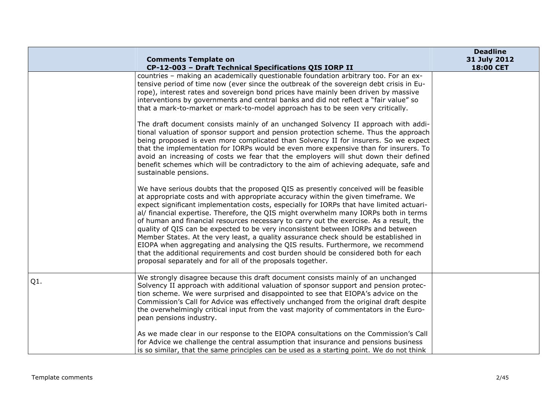|     | <b>Comments Template on</b><br>CP-12-003 - Draft Technical Specifications QIS IORP II                                                                                                                                                                                                                                                                                                                                                                                                                                                                                                                                                                                                                                                                                                                                                                                                                                                                                                                                                                                                                                                                                                                                                                                                                                                                                                                                                                                                                                                                                                                                                                           | <b>Deadline</b><br>31 July 2012<br>18:00 CET |
|-----|-----------------------------------------------------------------------------------------------------------------------------------------------------------------------------------------------------------------------------------------------------------------------------------------------------------------------------------------------------------------------------------------------------------------------------------------------------------------------------------------------------------------------------------------------------------------------------------------------------------------------------------------------------------------------------------------------------------------------------------------------------------------------------------------------------------------------------------------------------------------------------------------------------------------------------------------------------------------------------------------------------------------------------------------------------------------------------------------------------------------------------------------------------------------------------------------------------------------------------------------------------------------------------------------------------------------------------------------------------------------------------------------------------------------------------------------------------------------------------------------------------------------------------------------------------------------------------------------------------------------------------------------------------------------|----------------------------------------------|
|     | countries - making an academically questionable foundation arbitrary too. For an ex-<br>tensive period of time now (ever since the outbreak of the sovereign debt crisis in Eu-<br>rope), interest rates and sovereign bond prices have mainly been driven by massive<br>interventions by governments and central banks and did not reflect a "fair value" so<br>that a mark-to-market or mark-to-model approach has to be seen very critically.<br>The draft document consists mainly of an unchanged Solvency II approach with addi-<br>tional valuation of sponsor support and pension protection scheme. Thus the approach<br>being proposed is even more complicated than Solvency II for insurers. So we expect<br>that the implementation for IORPs would be even more expensive than for insurers. To<br>avoid an increasing of costs we fear that the employers will shut down their defined<br>benefit schemes which will be contradictory to the aim of achieving adequate, safe and<br>sustainable pensions.<br>We have serious doubts that the proposed QIS as presently conceived will be feasible<br>at appropriate costs and with appropriate accuracy within the given timeframe. We<br>expect significant implementation costs, especially for IORPs that have limited actuari-<br>al/ financial expertise. Therefore, the QIS might overwhelm many IORPs both in terms<br>of human and financial resources necessary to carry out the exercise. As a result, the<br>quality of QIS can be expected to be very inconsistent between IORPs and between<br>Member States. At the very least, a quality assurance check should be established in |                                              |
|     | EIOPA when aggregating and analysing the QIS results. Furthermore, we recommend<br>that the additional requirements and cost burden should be considered both for each<br>proposal separately and for all of the proposals together.                                                                                                                                                                                                                                                                                                                                                                                                                                                                                                                                                                                                                                                                                                                                                                                                                                                                                                                                                                                                                                                                                                                                                                                                                                                                                                                                                                                                                            |                                              |
| Q1. | We strongly disagree because this draft document consists mainly of an unchanged<br>Solvency II approach with additional valuation of sponsor support and pension protec-<br>tion scheme. We were surprised and disappointed to see that EIOPA's advice on the<br>Commission's Call for Advice was effectively unchanged from the original draft despite<br>the overwhelmingly critical input from the vast majority of commentators in the Euro-<br>pean pensions industry.                                                                                                                                                                                                                                                                                                                                                                                                                                                                                                                                                                                                                                                                                                                                                                                                                                                                                                                                                                                                                                                                                                                                                                                    |                                              |
|     | As we made clear in our response to the EIOPA consultations on the Commission's Call<br>for Advice we challenge the central assumption that insurance and pensions business<br>is so similar, that the same principles can be used as a starting point. We do not think                                                                                                                                                                                                                                                                                                                                                                                                                                                                                                                                                                                                                                                                                                                                                                                                                                                                                                                                                                                                                                                                                                                                                                                                                                                                                                                                                                                         |                                              |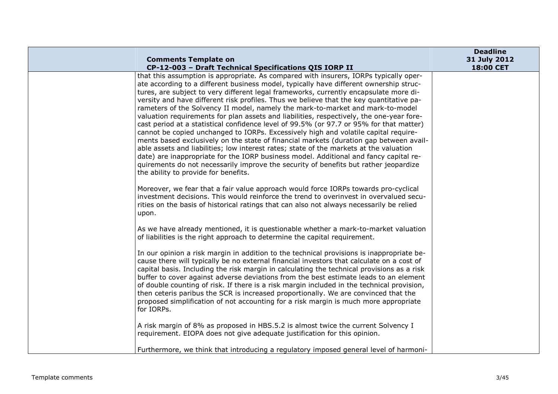|                                                                                                                                                                                                                                                                                                                                                                                                                                                                                                                                                                                                                                                                                                                                                                                                                                                                                                                                                                                                                                                                                                                                                  | <b>Deadline</b>           |
|--------------------------------------------------------------------------------------------------------------------------------------------------------------------------------------------------------------------------------------------------------------------------------------------------------------------------------------------------------------------------------------------------------------------------------------------------------------------------------------------------------------------------------------------------------------------------------------------------------------------------------------------------------------------------------------------------------------------------------------------------------------------------------------------------------------------------------------------------------------------------------------------------------------------------------------------------------------------------------------------------------------------------------------------------------------------------------------------------------------------------------------------------|---------------------------|
| <b>Comments Template on</b><br>CP-12-003 - Draft Technical Specifications QIS IORP II                                                                                                                                                                                                                                                                                                                                                                                                                                                                                                                                                                                                                                                                                                                                                                                                                                                                                                                                                                                                                                                            | 31 July 2012<br>18:00 CET |
| that this assumption is appropriate. As compared with insurers, IORPs typically oper-<br>ate according to a different business model, typically have different ownership struc-<br>tures, are subject to very different legal frameworks, currently encapsulate more di-<br>versity and have different risk profiles. Thus we believe that the key quantitative pa-<br>rameters of the Solvency II model, namely the mark-to-market and mark-to-model<br>valuation requirements for plan assets and liabilities, respectively, the one-year fore-<br>cast period at a statistical confidence level of 99.5% (or 97.7 or 95% for that matter)<br>cannot be copied unchanged to IORPs. Excessively high and volatile capital require-<br>ments based exclusively on the state of financial markets (duration gap between avail-<br>able assets and liabilities; low interest rates; state of the markets at the valuation<br>date) are inappropriate for the IORP business model. Additional and fancy capital re-<br>quirements do not necessarily improve the security of benefits but rather jeopardize<br>the ability to provide for benefits. |                           |
| Moreover, we fear that a fair value approach would force IORPs towards pro-cyclical<br>investment decisions. This would reinforce the trend to overinvest in overvalued secu-<br>rities on the basis of historical ratings that can also not always necessarily be relied<br>upon.                                                                                                                                                                                                                                                                                                                                                                                                                                                                                                                                                                                                                                                                                                                                                                                                                                                               |                           |
| As we have already mentioned, it is questionable whether a mark-to-market valuation<br>of liabilities is the right approach to determine the capital requirement.                                                                                                                                                                                                                                                                                                                                                                                                                                                                                                                                                                                                                                                                                                                                                                                                                                                                                                                                                                                |                           |
| In our opinion a risk margin in addition to the technical provisions is inappropriate be-<br>cause there will typically be no external financial investors that calculate on a cost of<br>capital basis. Including the risk margin in calculating the technical provisions as a risk<br>buffer to cover against adverse deviations from the best estimate leads to an element<br>of double counting of risk. If there is a risk margin included in the technical provision,<br>then ceteris paribus the SCR is increased proportionally. We are convinced that the<br>proposed simplification of not accounting for a risk margin is much more appropriate<br>for IORPs.                                                                                                                                                                                                                                                                                                                                                                                                                                                                         |                           |
| A risk margin of 8% as proposed in HBS.5.2 is almost twice the current Solvency I<br>requirement. EIOPA does not give adequate justification for this opinion.                                                                                                                                                                                                                                                                                                                                                                                                                                                                                                                                                                                                                                                                                                                                                                                                                                                                                                                                                                                   |                           |
| Furthermore, we think that introducing a regulatory imposed general level of harmoni-                                                                                                                                                                                                                                                                                                                                                                                                                                                                                                                                                                                                                                                                                                                                                                                                                                                                                                                                                                                                                                                            |                           |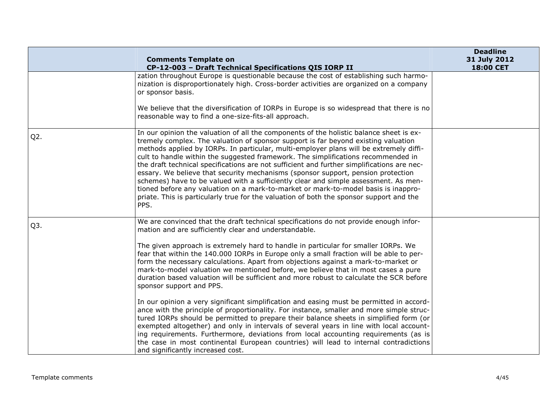|                  | <b>Comments Template on</b>                                                                                                                                                                                                                                                                                                                                                                                                                                                                                                                                                                                                                                                                                                                                                                                                                                                                                                                                                                                                                                                                                                                                                                                                         | <b>Deadline</b><br>31 July 2012 |
|------------------|-------------------------------------------------------------------------------------------------------------------------------------------------------------------------------------------------------------------------------------------------------------------------------------------------------------------------------------------------------------------------------------------------------------------------------------------------------------------------------------------------------------------------------------------------------------------------------------------------------------------------------------------------------------------------------------------------------------------------------------------------------------------------------------------------------------------------------------------------------------------------------------------------------------------------------------------------------------------------------------------------------------------------------------------------------------------------------------------------------------------------------------------------------------------------------------------------------------------------------------|---------------------------------|
|                  | CP-12-003 - Draft Technical Specifications QIS IORP II                                                                                                                                                                                                                                                                                                                                                                                                                                                                                                                                                                                                                                                                                                                                                                                                                                                                                                                                                                                                                                                                                                                                                                              | 18:00 CET                       |
|                  | zation throughout Europe is questionable because the cost of establishing such harmo-<br>nization is disproportionately high. Cross-border activities are organized on a company<br>or sponsor basis.<br>We believe that the diversification of IORPs in Europe is so widespread that there is no<br>reasonable way to find a one-size-fits-all approach.                                                                                                                                                                                                                                                                                                                                                                                                                                                                                                                                                                                                                                                                                                                                                                                                                                                                           |                                 |
| $Q2$ .           | In our opinion the valuation of all the components of the holistic balance sheet is ex-<br>tremely complex. The valuation of sponsor support is far beyond existing valuation<br>methods applied by IORPs. In particular, multi-employer plans will be extremely diffi-<br>cult to handle within the suggested framework. The simplifications recommended in<br>the draft technical specifications are not sufficient and further simplifications are nec-<br>essary. We believe that security mechanisms (sponsor support, pension protection<br>schemes) have to be valued with a sufficiently clear and simple assessment. As men-<br>tioned before any valuation on a mark-to-market or mark-to-model basis is inappro-<br>priate. This is particularly true for the valuation of both the sponsor support and the<br>PPS.                                                                                                                                                                                                                                                                                                                                                                                                      |                                 |
| Q <sub>3</sub> . | We are convinced that the draft technical specifications do not provide enough infor-<br>mation and are sufficiently clear and understandable.<br>The given approach is extremely hard to handle in particular for smaller IORPs. We<br>fear that within the 140.000 IORPs in Europe only a small fraction will be able to per-<br>form the necessary calculations. Apart from objections against a mark-to-market or<br>mark-to-model valuation we mentioned before, we believe that in most cases a pure<br>duration based valuation will be sufficient and more robust to calculate the SCR before<br>sponsor support and PPS.<br>In our opinion a very significant simplification and easing must be permitted in accord-<br>ance with the principle of proportionality. For instance, smaller and more simple struc-<br>tured IORPs should be permitted to prepare their balance sheets in simplified form (or<br>exempted altogether) and only in intervals of several years in line with local account-<br>ing requirements. Furthermore, deviations from local accounting requirements (as is<br>the case in most continental European countries) will lead to internal contradictions<br>and significantly increased cost. |                                 |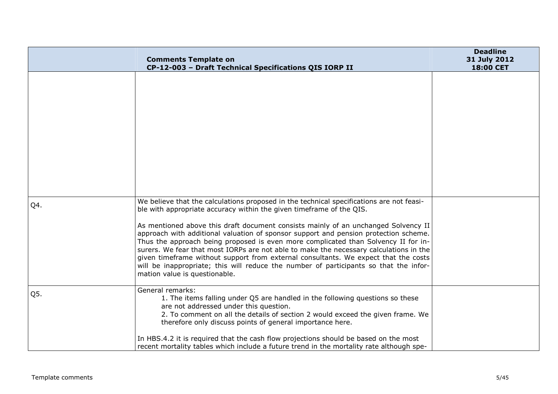|     | <b>Comments Template on</b><br>CP-12-003 - Draft Technical Specifications QIS IORP II                                                                                                                                                                                                                                                                                                                                                                                                                                                                                                                                                                                                                                                           | <b>Deadline</b><br>31 July 2012<br>18:00 CET |
|-----|-------------------------------------------------------------------------------------------------------------------------------------------------------------------------------------------------------------------------------------------------------------------------------------------------------------------------------------------------------------------------------------------------------------------------------------------------------------------------------------------------------------------------------------------------------------------------------------------------------------------------------------------------------------------------------------------------------------------------------------------------|----------------------------------------------|
|     |                                                                                                                                                                                                                                                                                                                                                                                                                                                                                                                                                                                                                                                                                                                                                 |                                              |
| Q4. | We believe that the calculations proposed in the technical specifications are not feasi-<br>ble with appropriate accuracy within the given timeframe of the QIS.<br>As mentioned above this draft document consists mainly of an unchanged Solvency II<br>approach with additional valuation of sponsor support and pension protection scheme.<br>Thus the approach being proposed is even more complicated than Solvency II for in-<br>surers. We fear that most IORPs are not able to make the necessary calculations in the<br>given timeframe without support from external consultants. We expect that the costs<br>will be inappropriate; this will reduce the number of participants so that the infor-<br>mation value is questionable. |                                              |
| Q5. | General remarks:<br>1. The items falling under Q5 are handled in the following questions so these<br>are not addressed under this question.<br>2. To comment on all the details of section 2 would exceed the given frame. We<br>therefore only discuss points of general importance here.<br>In HBS.4.2 it is required that the cash flow projections should be based on the most<br>recent mortality tables which include a future trend in the mortality rate although spe-                                                                                                                                                                                                                                                                  |                                              |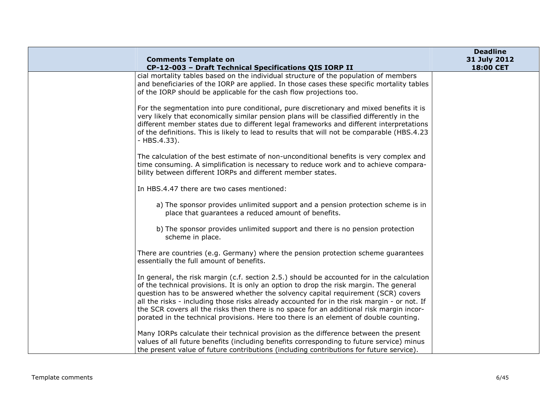|                                                                                                                                                                                                                                                                                                                                                                                                                                                                                                                                                               | <b>Deadline</b>           |
|---------------------------------------------------------------------------------------------------------------------------------------------------------------------------------------------------------------------------------------------------------------------------------------------------------------------------------------------------------------------------------------------------------------------------------------------------------------------------------------------------------------------------------------------------------------|---------------------------|
| <b>Comments Template on</b><br>CP-12-003 - Draft Technical Specifications QIS IORP II                                                                                                                                                                                                                                                                                                                                                                                                                                                                         | 31 July 2012<br>18:00 CET |
| cial mortality tables based on the individual structure of the population of members<br>and beneficiaries of the IORP are applied. In those cases these specific mortality tables<br>of the IORP should be applicable for the cash flow projections too.                                                                                                                                                                                                                                                                                                      |                           |
| For the segmentation into pure conditional, pure discretionary and mixed benefits it is<br>very likely that economically similar pension plans will be classified differently in the<br>different member states due to different legal frameworks and different interpretations<br>of the definitions. This is likely to lead to results that will not be comparable (HBS.4.23<br>$-HBS.4.33$ ).                                                                                                                                                              |                           |
| The calculation of the best estimate of non-unconditional benefits is very complex and<br>time consuming. A simplification is necessary to reduce work and to achieve compara-<br>bility between different IORPs and different member states.                                                                                                                                                                                                                                                                                                                 |                           |
| In HBS.4.47 there are two cases mentioned:                                                                                                                                                                                                                                                                                                                                                                                                                                                                                                                    |                           |
| a) The sponsor provides unlimited support and a pension protection scheme is in<br>place that guarantees a reduced amount of benefits.                                                                                                                                                                                                                                                                                                                                                                                                                        |                           |
| b) The sponsor provides unlimited support and there is no pension protection<br>scheme in place.                                                                                                                                                                                                                                                                                                                                                                                                                                                              |                           |
| There are countries (e.g. Germany) where the pension protection scheme guarantees<br>essentially the full amount of benefits.                                                                                                                                                                                                                                                                                                                                                                                                                                 |                           |
| In general, the risk margin (c.f. section 2.5.) should be accounted for in the calculation<br>of the technical provisions. It is only an option to drop the risk margin. The general<br>question has to be answered whether the solvency capital requirement (SCR) covers<br>all the risks - including those risks already accounted for in the risk margin - or not. If<br>the SCR covers all the risks then there is no space for an additional risk margin incor-<br>porated in the technical provisions. Here too there is an element of double counting. |                           |
| Many IORPs calculate their technical provision as the difference between the present<br>values of all future benefits (including benefits corresponding to future service) minus<br>the present value of future contributions (including contributions for future service).                                                                                                                                                                                                                                                                                   |                           |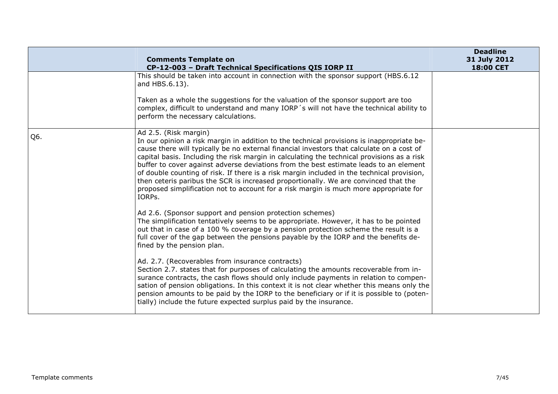|     | <b>Comments Template on</b><br>CP-12-003 - Draft Technical Specifications QIS IORP II                                                                                                                                                                                                                                                                                                                                                                                                                                                                                                                                                                                                          | <b>Deadline</b><br>31 July 2012<br>18:00 CET |
|-----|------------------------------------------------------------------------------------------------------------------------------------------------------------------------------------------------------------------------------------------------------------------------------------------------------------------------------------------------------------------------------------------------------------------------------------------------------------------------------------------------------------------------------------------------------------------------------------------------------------------------------------------------------------------------------------------------|----------------------------------------------|
|     | This should be taken into account in connection with the sponsor support (HBS.6.12)<br>and HBS.6.13).                                                                                                                                                                                                                                                                                                                                                                                                                                                                                                                                                                                          |                                              |
|     | Taken as a whole the suggestions for the valuation of the sponsor support are too<br>complex, difficult to understand and many IORP's will not have the technical ability to<br>perform the necessary calculations.                                                                                                                                                                                                                                                                                                                                                                                                                                                                            |                                              |
| Q6. | Ad 2.5. (Risk margin)<br>In our opinion a risk margin in addition to the technical provisions is inappropriate be-<br>cause there will typically be no external financial investors that calculate on a cost of<br>capital basis. Including the risk margin in calculating the technical provisions as a risk<br>buffer to cover against adverse deviations from the best estimate leads to an element<br>of double counting of risk. If there is a risk margin included in the technical provision,<br>then ceteris paribus the SCR is increased proportionally. We are convinced that the<br>proposed simplification not to account for a risk margin is much more appropriate for<br>IORPs. |                                              |
|     | Ad 2.6. (Sponsor support and pension protection schemes)<br>The simplification tentatively seems to be appropriate. However, it has to be pointed<br>out that in case of a 100 % coverage by a pension protection scheme the result is a<br>full cover of the gap between the pensions payable by the IORP and the benefits de-<br>fined by the pension plan.                                                                                                                                                                                                                                                                                                                                  |                                              |
|     | Ad. 2.7. (Recoverables from insurance contracts)<br>Section 2.7. states that for purposes of calculating the amounts recoverable from in-<br>surance contracts, the cash flows should only include payments in relation to compen-<br>sation of pension obligations. In this context it is not clear whether this means only the<br>pension amounts to be paid by the IORP to the beneficiary or if it is possible to (poten-<br>tially) include the future expected surplus paid by the insurance.                                                                                                                                                                                            |                                              |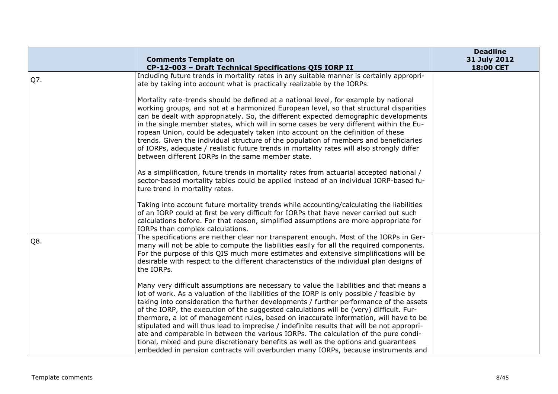|     |                                                                                                                                                                                                                                                                                                                                                                                                                                                                                                                                                                                                                                                                                                                                                                                                                                     | <b>Deadline</b>           |
|-----|-------------------------------------------------------------------------------------------------------------------------------------------------------------------------------------------------------------------------------------------------------------------------------------------------------------------------------------------------------------------------------------------------------------------------------------------------------------------------------------------------------------------------------------------------------------------------------------------------------------------------------------------------------------------------------------------------------------------------------------------------------------------------------------------------------------------------------------|---------------------------|
|     | <b>Comments Template on</b>                                                                                                                                                                                                                                                                                                                                                                                                                                                                                                                                                                                                                                                                                                                                                                                                         | 31 July 2012<br>18:00 CET |
|     | CP-12-003 - Draft Technical Specifications QIS IORP II<br>Including future trends in mortality rates in any suitable manner is certainly appropri-                                                                                                                                                                                                                                                                                                                                                                                                                                                                                                                                                                                                                                                                                  |                           |
| Q7. | ate by taking into account what is practically realizable by the IORPs.                                                                                                                                                                                                                                                                                                                                                                                                                                                                                                                                                                                                                                                                                                                                                             |                           |
|     | Mortality rate-trends should be defined at a national level, for example by national<br>working groups, and not at a harmonized European level, so that structural disparities<br>can be dealt with appropriately. So, the different expected demographic developments<br>in the single member states, which will in some cases be very different within the Eu-<br>ropean Union, could be adequately taken into account on the definition of these<br>trends. Given the individual structure of the population of members and beneficiaries<br>of IORPs, adequate / realistic future trends in mortality rates will also strongly differ<br>between different IORPs in the same member state.                                                                                                                                      |                           |
|     | As a simplification, future trends in mortality rates from actuarial accepted national /<br>sector-based mortality tables could be applied instead of an individual IORP-based fu-<br>ture trend in mortality rates.                                                                                                                                                                                                                                                                                                                                                                                                                                                                                                                                                                                                                |                           |
|     | Taking into account future mortality trends while accounting/calculating the liabilities<br>of an IORP could at first be very difficult for IORPs that have never carried out such<br>calculations before. For that reason, simplified assumptions are more appropriate for<br>IORPs than complex calculations.                                                                                                                                                                                                                                                                                                                                                                                                                                                                                                                     |                           |
| Q8. | The specifications are neither clear nor transparent enough. Most of the IORPs in Ger-<br>many will not be able to compute the liabilities easily for all the required components.<br>For the purpose of this QIS much more estimates and extensive simplifications will be<br>desirable with respect to the different characteristics of the individual plan designs of<br>the IORPs.                                                                                                                                                                                                                                                                                                                                                                                                                                              |                           |
|     | Many very difficult assumptions are necessary to value the liabilities and that means a<br>lot of work. As a valuation of the liabilities of the IORP is only possible / feasible by<br>taking into consideration the further developments / further performance of the assets<br>of the IORP, the execution of the suggested calculations will be (very) difficult. Fur-<br>thermore, a lot of management rules, based on inaccurate information, will have to be<br>stipulated and will thus lead to imprecise / indefinite results that will be not appropri-<br>ate and comparable in between the various IORPs. The calculation of the pure condi-<br>tional, mixed and pure discretionary benefits as well as the options and guarantees<br>embedded in pension contracts will overburden many IORPs, because instruments and |                           |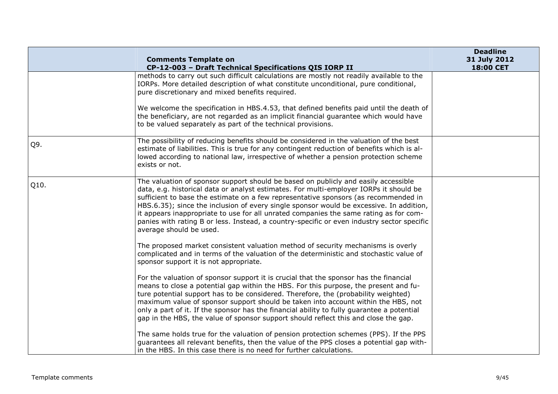|      | <b>Comments Template on</b>                                                                                                                                                                                                                                                                                                                                                                                                                                                                                                                                                      | <b>Deadline</b><br>31 July 2012 |
|------|----------------------------------------------------------------------------------------------------------------------------------------------------------------------------------------------------------------------------------------------------------------------------------------------------------------------------------------------------------------------------------------------------------------------------------------------------------------------------------------------------------------------------------------------------------------------------------|---------------------------------|
|      | CP-12-003 - Draft Technical Specifications QIS IORP II                                                                                                                                                                                                                                                                                                                                                                                                                                                                                                                           | 18:00 CET                       |
|      | methods to carry out such difficult calculations are mostly not readily available to the<br>IORPs. More detailed description of what constitute unconditional, pure conditional,<br>pure discretionary and mixed benefits required.                                                                                                                                                                                                                                                                                                                                              |                                 |
|      | We welcome the specification in HBS.4.53, that defined benefits paid until the death of<br>the beneficiary, are not regarded as an implicit financial guarantee which would have<br>to be valued separately as part of the technical provisions.                                                                                                                                                                                                                                                                                                                                 |                                 |
| Q9.  | The possibility of reducing benefits should be considered in the valuation of the best<br>estimate of liabilities. This is true for any contingent reduction of benefits which is al-<br>lowed according to national law, irrespective of whether a pension protection scheme<br>exists or not.                                                                                                                                                                                                                                                                                  |                                 |
| Q10. | The valuation of sponsor support should be based on publicly and easily accessible<br>data, e.g. historical data or analyst estimates. For multi-employer IORPs it should be<br>sufficient to base the estimate on a few representative sponsors (as recommended in<br>HBS.6.35); since the inclusion of every single sponsor would be excessive. In addition,<br>it appears inappropriate to use for all unrated companies the same rating as for com-<br>panies with rating B or less. Instead, a country-specific or even industry sector specific<br>average should be used. |                                 |
|      | The proposed market consistent valuation method of security mechanisms is overly<br>complicated and in terms of the valuation of the deterministic and stochastic value of<br>sponsor support it is not appropriate.                                                                                                                                                                                                                                                                                                                                                             |                                 |
|      | For the valuation of sponsor support it is crucial that the sponsor has the financial<br>means to close a potential gap within the HBS. For this purpose, the present and fu-<br>ture potential support has to be considered. Therefore, the (probability weighted)<br>maximum value of sponsor support should be taken into account within the HBS, not<br>only a part of it. If the sponsor has the financial ability to fully guarantee a potential<br>gap in the HBS, the value of sponsor support should reflect this and close the gap.                                    |                                 |
|      | The same holds true for the valuation of pension protection schemes (PPS). If the PPS<br>guarantees all relevant benefits, then the value of the PPS closes a potential gap with-<br>in the HBS. In this case there is no need for further calculations.                                                                                                                                                                                                                                                                                                                         |                                 |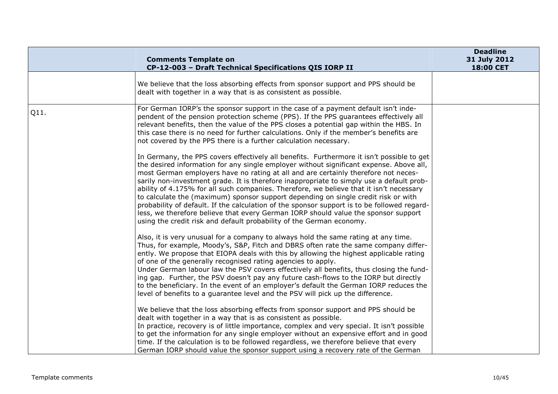|      | <b>Comments Template on</b><br>CP-12-003 - Draft Technical Specifications QIS IORP II                                                                                                                                                                                                                                                                                                                                                                                                                                                                                                                                                                                                                                                                                                                                | <b>Deadline</b><br>31 July 2012<br>18:00 CET |
|------|----------------------------------------------------------------------------------------------------------------------------------------------------------------------------------------------------------------------------------------------------------------------------------------------------------------------------------------------------------------------------------------------------------------------------------------------------------------------------------------------------------------------------------------------------------------------------------------------------------------------------------------------------------------------------------------------------------------------------------------------------------------------------------------------------------------------|----------------------------------------------|
|      | We believe that the loss absorbing effects from sponsor support and PPS should be<br>dealt with together in a way that is as consistent as possible.                                                                                                                                                                                                                                                                                                                                                                                                                                                                                                                                                                                                                                                                 |                                              |
| Q11. | For German IORP's the sponsor support in the case of a payment default isn't inde-<br>pendent of the pension protection scheme (PPS). If the PPS guarantees effectively all<br>relevant benefits, then the value of the PPS closes a potential gap within the HBS. In<br>this case there is no need for further calculations. Only if the member's benefits are<br>not covered by the PPS there is a further calculation necessary.                                                                                                                                                                                                                                                                                                                                                                                  |                                              |
|      | In Germany, the PPS covers effectively all benefits. Furthermore it isn't possible to get<br>the desired information for any single employer without significant expense. Above all,<br>most German employers have no rating at all and are certainly therefore not neces-<br>sarily non-investment grade. It is therefore inappropriate to simply use a default prob-<br>ability of 4.175% for all such companies. Therefore, we believe that it isn't necessary<br>to calculate the (maximum) sponsor support depending on single credit risk or with<br>probability of default. If the calculation of the sponsor support is to be followed regard-<br>less, we therefore believe that every German IORP should value the sponsor support<br>using the credit risk and default probability of the German economy. |                                              |
|      | Also, it is very unusual for a company to always hold the same rating at any time.<br>Thus, for example, Moody's, S&P, Fitch and DBRS often rate the same company differ-<br>ently. We propose that EIOPA deals with this by allowing the highest applicable rating<br>of one of the generally recognised rating agencies to apply.<br>Under German labour law the PSV covers effectively all benefits, thus closing the fund-<br>ing gap. Further, the PSV doesn't pay any future cash-flows to the IORP but directly<br>to the beneficiary. In the event of an employer's default the German IORP reduces the<br>level of benefits to a guarantee level and the PSV will pick up the difference.                                                                                                                   |                                              |
|      | We believe that the loss absorbing effects from sponsor support and PPS should be<br>dealt with together in a way that is as consistent as possible.<br>In practice, recovery is of little importance, complex and very special. It isn't possible<br>to get the information for any single employer without an expensive effort and in good<br>time. If the calculation is to be followed regardless, we therefore believe that every<br>German IORP should value the sponsor support using a recovery rate of the German                                                                                                                                                                                                                                                                                           |                                              |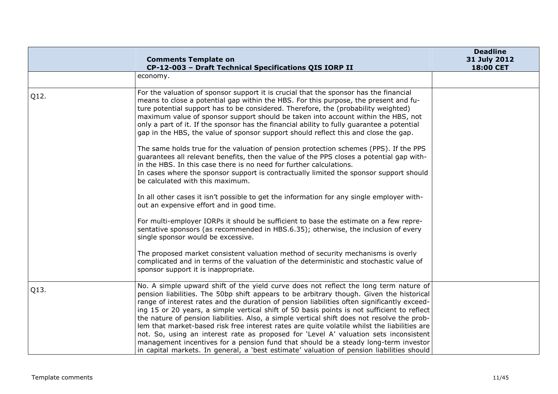|      | <b>Comments Template on</b><br>CP-12-003 - Draft Technical Specifications QIS IORP II                                                                                                                                                                                                                                                                                                                                                                                                                                                                                                                                                                                                                                                                                                                                                                       | <b>Deadline</b><br>31 July 2012<br>18:00 CET |
|------|-------------------------------------------------------------------------------------------------------------------------------------------------------------------------------------------------------------------------------------------------------------------------------------------------------------------------------------------------------------------------------------------------------------------------------------------------------------------------------------------------------------------------------------------------------------------------------------------------------------------------------------------------------------------------------------------------------------------------------------------------------------------------------------------------------------------------------------------------------------|----------------------------------------------|
|      | economy.                                                                                                                                                                                                                                                                                                                                                                                                                                                                                                                                                                                                                                                                                                                                                                                                                                                    |                                              |
| Q12. | For the valuation of sponsor support it is crucial that the sponsor has the financial<br>means to close a potential gap within the HBS. For this purpose, the present and fu-<br>ture potential support has to be considered. Therefore, the (probability weighted)<br>maximum value of sponsor support should be taken into account within the HBS, not<br>only a part of it. If the sponsor has the financial ability to fully guarantee a potential<br>gap in the HBS, the value of sponsor support should reflect this and close the gap.                                                                                                                                                                                                                                                                                                               |                                              |
|      | The same holds true for the valuation of pension protection schemes (PPS). If the PPS<br>guarantees all relevant benefits, then the value of the PPS closes a potential gap with-<br>in the HBS. In this case there is no need for further calculations.<br>In cases where the sponsor support is contractually limited the sponsor support should<br>be calculated with this maximum.                                                                                                                                                                                                                                                                                                                                                                                                                                                                      |                                              |
|      | In all other cases it isn't possible to get the information for any single employer with-<br>out an expensive effort and in good time.                                                                                                                                                                                                                                                                                                                                                                                                                                                                                                                                                                                                                                                                                                                      |                                              |
|      | For multi-employer IORPs it should be sufficient to base the estimate on a few repre-<br>sentative sponsors (as recommended in HBS.6.35); otherwise, the inclusion of every<br>single sponsor would be excessive.                                                                                                                                                                                                                                                                                                                                                                                                                                                                                                                                                                                                                                           |                                              |
|      | The proposed market consistent valuation method of security mechanisms is overly<br>complicated and in terms of the valuation of the deterministic and stochastic value of<br>sponsor support it is inappropriate.                                                                                                                                                                                                                                                                                                                                                                                                                                                                                                                                                                                                                                          |                                              |
| Q13. | No. A simple upward shift of the yield curve does not reflect the long term nature of<br>pension liabilities. The 50bp shift appears to be arbitrary though. Given the historical<br>range of interest rates and the duration of pension liabilities often significantly exceed-<br>ing 15 or 20 years, a simple vertical shift of 50 basis points is not sufficient to reflect<br>the nature of pension liabilities. Also, a simple vertical shift does not resolve the prob-<br>lem that market-based risk free interest rates are quite volatile whilst the liabilities are<br>not. So, using an interest rate as proposed for 'Level A' valuation sets inconsistent<br>management incentives for a pension fund that should be a steady long-term investor<br>in capital markets. In general, a 'best estimate' valuation of pension liabilities should |                                              |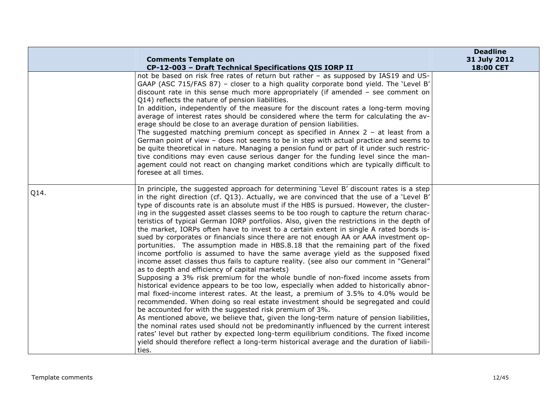|      | <b>Comments Template on</b>                                                                                                                                                                                                                                                                                                                                                                                                                                                                                                                                                                                                                                                                                                                                                                                                                                                                                                                                                                                                                                                                                                                                                                                                                                                                                                                                                                                                                                                                                                                                                                                                                                                                                                                                                             | <b>Deadline</b><br>31 July 2012 |
|------|-----------------------------------------------------------------------------------------------------------------------------------------------------------------------------------------------------------------------------------------------------------------------------------------------------------------------------------------------------------------------------------------------------------------------------------------------------------------------------------------------------------------------------------------------------------------------------------------------------------------------------------------------------------------------------------------------------------------------------------------------------------------------------------------------------------------------------------------------------------------------------------------------------------------------------------------------------------------------------------------------------------------------------------------------------------------------------------------------------------------------------------------------------------------------------------------------------------------------------------------------------------------------------------------------------------------------------------------------------------------------------------------------------------------------------------------------------------------------------------------------------------------------------------------------------------------------------------------------------------------------------------------------------------------------------------------------------------------------------------------------------------------------------------------|---------------------------------|
|      | CP-12-003 - Draft Technical Specifications QIS IORP II<br>not be based on risk free rates of return but rather - as supposed by IAS19 and US-<br>GAAP (ASC 715/FAS 87) - closer to a high quality corporate bond yield. The 'Level B'<br>discount rate in this sense much more appropriately (if amended $-$ see comment on<br>Q14) reflects the nature of pension liabilities.<br>In addition, independently of the measure for the discount rates a long-term moving<br>average of interest rates should be considered where the term for calculating the av-<br>erage should be close to an average duration of pension liabilities.<br>The suggested matching premium concept as specified in Annex $2 - at$ least from a<br>German point of view - does not seems to be in step with actual practice and seems to<br>be quite theoretical in nature. Managing a pension fund or part of it under such restric-<br>tive conditions may even cause serious danger for the funding level since the man-<br>agement could not react on changing market conditions which are typically difficult to<br>foresee at all times.                                                                                                                                                                                                                                                                                                                                                                                                                                                                                                                                                                                                                                                            | 18:00 CET                       |
| Q14. | In principle, the suggested approach for determining 'Level B' discount rates is a step<br>in the right direction (cf. $Q13$ ). Actually, we are convinced that the use of a 'Level B'<br>type of discounts rate is an absolute must if the HBS is pursued. However, the cluster-<br>ing in the suggested asset classes seems to be too rough to capture the return charac-<br>teristics of typical German IORP portfolios. Also, given the restrictions in the depth of<br>the market, IORPs often have to invest to a certain extent in single A rated bonds is-<br>sued by corporates or financials since there are not enough AA or AAA investment op-<br>portunities. The assumption made in HBS.8.18 that the remaining part of the fixed<br>income portfolio is assumed to have the same average yield as the supposed fixed<br>income asset classes thus fails to capture reality. (see also our comment in "General"<br>as to depth and efficiency of capital markets)<br>Supposing a 3% risk premium for the whole bundle of non-fixed income assets from<br>historical evidence appears to be too low, especially when added to historically abnor-<br>mal fixed-income interest rates. At the least, a premium of 3.5% to 4.0% would be<br>recommended. When doing so real estate investment should be segregated and could<br>be accounted for with the suggested risk premium of 3%.<br>As mentioned above, we believe that, given the long-term nature of pension liabilities,<br>the nominal rates used should not be predominantly influenced by the current interest<br>rates' level but rather by expected long-term equilibrium conditions. The fixed income<br>yield should therefore reflect a long-term historical average and the duration of liabili-<br>ties. |                                 |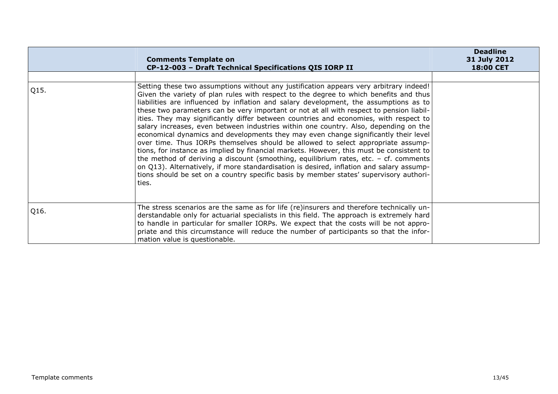|      | <b>Comments Template on</b><br>CP-12-003 - Draft Technical Specifications QIS IORP II                                                                                                                                                                                                                                                                                                                                                                                                                                                                                                                                                                                                                                                                                                                                                                                                                                                                                                                                                                                                                                 | <b>Deadline</b><br>31 July 2012<br>18:00 CET |
|------|-----------------------------------------------------------------------------------------------------------------------------------------------------------------------------------------------------------------------------------------------------------------------------------------------------------------------------------------------------------------------------------------------------------------------------------------------------------------------------------------------------------------------------------------------------------------------------------------------------------------------------------------------------------------------------------------------------------------------------------------------------------------------------------------------------------------------------------------------------------------------------------------------------------------------------------------------------------------------------------------------------------------------------------------------------------------------------------------------------------------------|----------------------------------------------|
|      |                                                                                                                                                                                                                                                                                                                                                                                                                                                                                                                                                                                                                                                                                                                                                                                                                                                                                                                                                                                                                                                                                                                       |                                              |
| Q15. | Setting these two assumptions without any justification appears very arbitrary indeed!<br>Given the variety of plan rules with respect to the degree to which benefits and thus<br>liabilities are influenced by inflation and salary development, the assumptions as to<br>these two parameters can be very important or not at all with respect to pension liabil-<br>ities. They may significantly differ between countries and economies, with respect to<br>salary increases, even between industries within one country. Also, depending on the<br>economical dynamics and developments they may even change significantly their level<br>over time. Thus IORPs themselves should be allowed to select appropriate assump-<br>tions, for instance as implied by financial markets. However, this must be consistent to<br>the method of deriving a discount (smoothing, equilibrium rates, etc. $-$ cf. comments<br>on Q13). Alternatively, if more standardisation is desired, inflation and salary assump-<br>tions should be set on a country specific basis by member states' supervisory authori-<br>ties. |                                              |
| Q16. | The stress scenarios are the same as for life (re)insurers and therefore technically un-<br>derstandable only for actuarial specialists in this field. The approach is extremely hard<br>to handle in particular for smaller IORPs. We expect that the costs will be not appro-<br>priate and this circumstance will reduce the number of participants so that the infor-<br>mation value is questionable.                                                                                                                                                                                                                                                                                                                                                                                                                                                                                                                                                                                                                                                                                                            |                                              |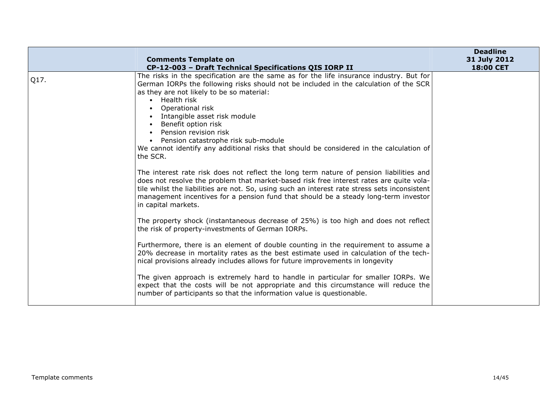|      | <b>Comments Template on</b>                                                                                                                                                                                                                                                                                                                                                                                                                                                                                                                                                                                                                                                                                                                                                                                                                                                                                                                                                                                                                             | <b>Deadline</b><br>31 July 2012 |
|------|---------------------------------------------------------------------------------------------------------------------------------------------------------------------------------------------------------------------------------------------------------------------------------------------------------------------------------------------------------------------------------------------------------------------------------------------------------------------------------------------------------------------------------------------------------------------------------------------------------------------------------------------------------------------------------------------------------------------------------------------------------------------------------------------------------------------------------------------------------------------------------------------------------------------------------------------------------------------------------------------------------------------------------------------------------|---------------------------------|
|      | CP-12-003 - Draft Technical Specifications QIS IORP II                                                                                                                                                                                                                                                                                                                                                                                                                                                                                                                                                                                                                                                                                                                                                                                                                                                                                                                                                                                                  | <b>18:00 CET</b>                |
| Q17. | The risks in the specification are the same as for the life insurance industry. But for<br>German IORPs the following risks should not be included in the calculation of the SCR<br>as they are not likely to be so material:<br>• Health risk<br>Operational risk<br>Intangible asset risk module<br>• Benefit option risk<br>• Pension revision risk<br>• Pension catastrophe risk sub-module<br>We cannot identify any additional risks that should be considered in the calculation of<br>the SCR.<br>The interest rate risk does not reflect the long term nature of pension liabilities and<br>does not resolve the problem that market-based risk free interest rates are quite vola-<br>tile whilst the liabilities are not. So, using such an interest rate stress sets inconsistent<br>management incentives for a pension fund that should be a steady long-term investor<br>in capital markets.<br>The property shock (instantaneous decrease of 25%) is too high and does not reflect<br>the risk of property-investments of German IORPs. |                                 |
|      | Furthermore, there is an element of double counting in the requirement to assume a<br>20% decrease in mortality rates as the best estimate used in calculation of the tech-<br>nical provisions already includes allows for future improvements in longevity                                                                                                                                                                                                                                                                                                                                                                                                                                                                                                                                                                                                                                                                                                                                                                                            |                                 |
|      | The given approach is extremely hard to handle in particular for smaller IORPs. We<br>expect that the costs will be not appropriate and this circumstance will reduce the<br>number of participants so that the information value is questionable.                                                                                                                                                                                                                                                                                                                                                                                                                                                                                                                                                                                                                                                                                                                                                                                                      |                                 |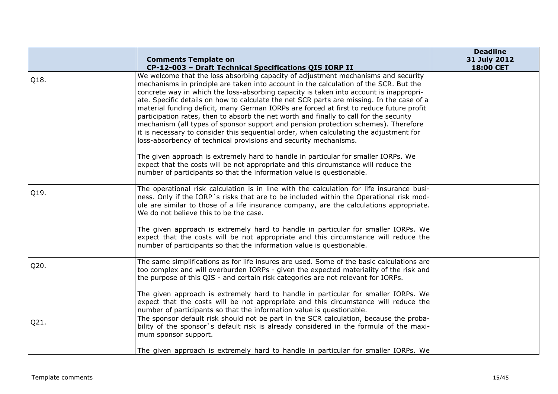|      |                                                                                                                                                                                                                                                                                                                                                                                                                                                                                                                                                                                                                                                                                                                                                                                                                                                                                                                                                            | <b>Deadline</b>           |
|------|------------------------------------------------------------------------------------------------------------------------------------------------------------------------------------------------------------------------------------------------------------------------------------------------------------------------------------------------------------------------------------------------------------------------------------------------------------------------------------------------------------------------------------------------------------------------------------------------------------------------------------------------------------------------------------------------------------------------------------------------------------------------------------------------------------------------------------------------------------------------------------------------------------------------------------------------------------|---------------------------|
|      | <b>Comments Template on</b>                                                                                                                                                                                                                                                                                                                                                                                                                                                                                                                                                                                                                                                                                                                                                                                                                                                                                                                                | 31 July 2012<br>18:00 CET |
| Q18. | CP-12-003 - Draft Technical Specifications QIS IORP II<br>We welcome that the loss absorbing capacity of adjustment mechanisms and security<br>mechanisms in principle are taken into account in the calculation of the SCR. But the<br>concrete way in which the loss-absorbing capacity is taken into account is inappropri-<br>ate. Specific details on how to calculate the net SCR parts are missing. In the case of a<br>material funding deficit, many German IORPs are forced at first to reduce future profit<br>participation rates, then to absorb the net worth and finally to call for the security<br>mechanism (all types of sponsor support and pension protection schemes). Therefore<br>it is necessary to consider this sequential order, when calculating the adjustment for<br>loss-absorbency of technical provisions and security mechanisms.<br>The given approach is extremely hard to handle in particular for smaller IORPs. We |                           |
|      | expect that the costs will be not appropriate and this circumstance will reduce the<br>number of participants so that the information value is questionable.                                                                                                                                                                                                                                                                                                                                                                                                                                                                                                                                                                                                                                                                                                                                                                                               |                           |
| Q19. | The operational risk calculation is in line with the calculation for life insurance busi-<br>ness. Only if the IORP's risks that are to be included within the Operational risk mod-<br>ule are similar to those of a life insurance company, are the calculations appropriate.<br>We do not believe this to be the case.                                                                                                                                                                                                                                                                                                                                                                                                                                                                                                                                                                                                                                  |                           |
|      | The given approach is extremely hard to handle in particular for smaller IORPs. We<br>expect that the costs will be not appropriate and this circumstance will reduce the<br>number of participants so that the information value is questionable.                                                                                                                                                                                                                                                                                                                                                                                                                                                                                                                                                                                                                                                                                                         |                           |
| Q20. | The same simplifications as for life insures are used. Some of the basic calculations are<br>too complex and will overburden IORPs - given the expected materiality of the risk and<br>the purpose of this QIS - and certain risk categories are not relevant for IORPs.                                                                                                                                                                                                                                                                                                                                                                                                                                                                                                                                                                                                                                                                                   |                           |
|      | The given approach is extremely hard to handle in particular for smaller IORPs. We<br>expect that the costs will be not appropriate and this circumstance will reduce the<br>number of participants so that the information value is questionable.                                                                                                                                                                                                                                                                                                                                                                                                                                                                                                                                                                                                                                                                                                         |                           |
| Q21. | The sponsor default risk should not be part in the SCR calculation, because the proba-<br>bility of the sponsor's default risk is already considered in the formula of the maxi-<br>mum sponsor support.                                                                                                                                                                                                                                                                                                                                                                                                                                                                                                                                                                                                                                                                                                                                                   |                           |
|      | The given approach is extremely hard to handle in particular for smaller IORPs. We                                                                                                                                                                                                                                                                                                                                                                                                                                                                                                                                                                                                                                                                                                                                                                                                                                                                         |                           |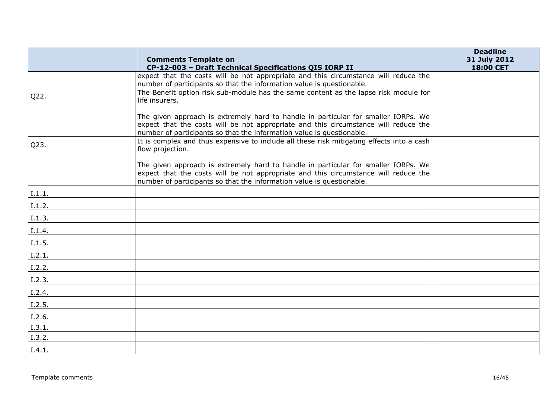|        | <b>Comments Template on</b>                                                                                                                                                                                                                        | <b>Deadline</b><br>31 July 2012 |
|--------|----------------------------------------------------------------------------------------------------------------------------------------------------------------------------------------------------------------------------------------------------|---------------------------------|
|        | CP-12-003 - Draft Technical Specifications QIS IORP II                                                                                                                                                                                             | 18:00 CET                       |
|        | expect that the costs will be not appropriate and this circumstance will reduce the<br>number of participants so that the information value is questionable.                                                                                       |                                 |
| Q22.   | The Benefit option risk sub-module has the same content as the lapse risk module for<br>life insurers.                                                                                                                                             |                                 |
|        | The given approach is extremely hard to handle in particular for smaller IORPs. We<br>expect that the costs will be not appropriate and this circumstance will reduce the<br>number of participants so that the information value is questionable. |                                 |
| Q23.   | It is complex and thus expensive to include all these risk mitigating effects into a cash<br>flow projection.                                                                                                                                      |                                 |
|        | The given approach is extremely hard to handle in particular for smaller IORPs. We<br>expect that the costs will be not appropriate and this circumstance will reduce the<br>number of participants so that the information value is questionable. |                                 |
| I.1.1. |                                                                                                                                                                                                                                                    |                                 |
| I.1.2. |                                                                                                                                                                                                                                                    |                                 |
| I.1.3. |                                                                                                                                                                                                                                                    |                                 |
| I.1.4. |                                                                                                                                                                                                                                                    |                                 |
| I.1.5. |                                                                                                                                                                                                                                                    |                                 |
| I.2.1. |                                                                                                                                                                                                                                                    |                                 |
| I.2.2. |                                                                                                                                                                                                                                                    |                                 |
| I.2.3. |                                                                                                                                                                                                                                                    |                                 |
| I.2.4. |                                                                                                                                                                                                                                                    |                                 |
| I.2.5. |                                                                                                                                                                                                                                                    |                                 |
| I.2.6. |                                                                                                                                                                                                                                                    |                                 |
| I.3.1. |                                                                                                                                                                                                                                                    |                                 |
| I.3.2. |                                                                                                                                                                                                                                                    |                                 |
| I.4.1. |                                                                                                                                                                                                                                                    |                                 |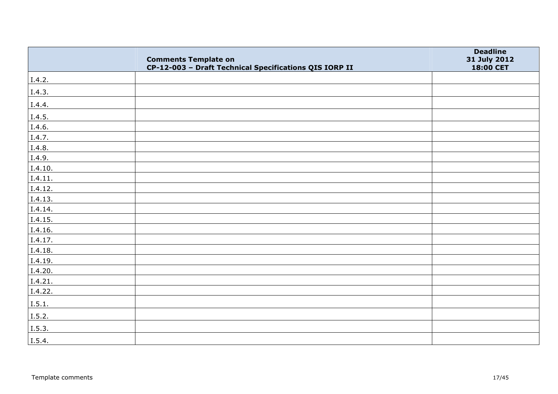|         | <b>Comments Template on</b>                            | <b>Deadline</b><br>31 July 2012 |
|---------|--------------------------------------------------------|---------------------------------|
|         | CP-12-003 - Draft Technical Specifications QIS IORP II | 18:00 CET                       |
| I.4.2.  |                                                        |                                 |
| I.4.3.  |                                                        |                                 |
| I.4.4.  |                                                        |                                 |
| I.4.5.  |                                                        |                                 |
| I.4.6.  |                                                        |                                 |
| I.4.7.  |                                                        |                                 |
| I.4.8.  |                                                        |                                 |
| I.4.9.  |                                                        |                                 |
| I.4.10. |                                                        |                                 |
| I.4.11. |                                                        |                                 |
| I.4.12. |                                                        |                                 |
| I.4.13. |                                                        |                                 |
| I.4.14. |                                                        |                                 |
| I.4.15. |                                                        |                                 |
| I.4.16. |                                                        |                                 |
| I.4.17. |                                                        |                                 |
| I.4.18. |                                                        |                                 |
| I.4.19. |                                                        |                                 |
| I.4.20. |                                                        |                                 |
| I.4.21. |                                                        |                                 |
| I.4.22. |                                                        |                                 |
| I.5.1.  |                                                        |                                 |
| I.5.2.  |                                                        |                                 |
| I.5.3.  |                                                        |                                 |
| I.5.4.  |                                                        |                                 |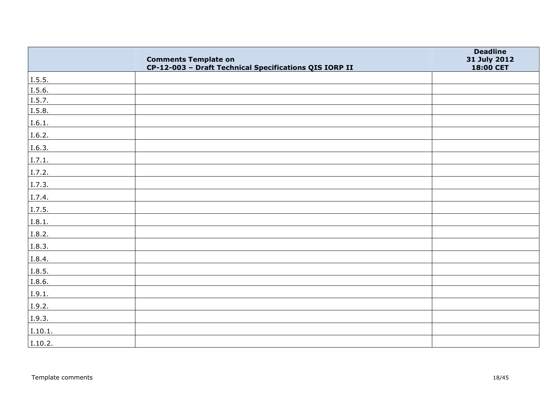|         | <b>Comments Template on</b>                            | <b>Deadline</b><br>31 July 2012 |
|---------|--------------------------------------------------------|---------------------------------|
|         | CP-12-003 - Draft Technical Specifications QIS IORP II | 18:00 CET                       |
| 1.5.5.  |                                                        |                                 |
| I.5.6.  |                                                        |                                 |
| 1.5.7.  |                                                        |                                 |
| I.5.8.  |                                                        |                                 |
| I.6.1.  |                                                        |                                 |
| 1.6.2.  |                                                        |                                 |
| I.6.3.  |                                                        |                                 |
| I.7.1.  |                                                        |                                 |
| I.7.2.  |                                                        |                                 |
| 1.7.3.  |                                                        |                                 |
| I.7.4.  |                                                        |                                 |
| I.7.5.  |                                                        |                                 |
| I.8.1.  |                                                        |                                 |
| I.8.2.  |                                                        |                                 |
| I.8.3.  |                                                        |                                 |
| I.8.4.  |                                                        |                                 |
| I.8.5.  |                                                        |                                 |
| I.8.6.  |                                                        |                                 |
| I.9.1.  |                                                        |                                 |
| I.9.2.  |                                                        |                                 |
| I.9.3.  |                                                        |                                 |
| I.10.1. |                                                        |                                 |
| I.10.2. |                                                        |                                 |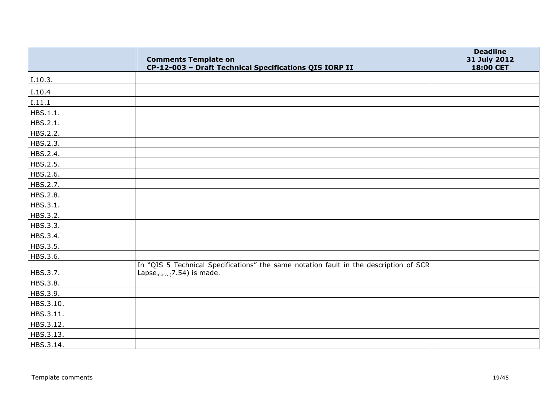|           | <b>Comments Template on</b><br>CP-12-003 - Draft Technical Specifications QIS IORP II                                           | <b>Deadline</b><br>31 July 2012<br>18:00 CET |
|-----------|---------------------------------------------------------------------------------------------------------------------------------|----------------------------------------------|
| I.10.3.   |                                                                                                                                 |                                              |
| I.10.4    |                                                                                                                                 |                                              |
| I.11.1    |                                                                                                                                 |                                              |
| HBS.1.1.  |                                                                                                                                 |                                              |
| HBS.2.1.  |                                                                                                                                 |                                              |
| HBS.2.2.  |                                                                                                                                 |                                              |
| HBS.2.3.  |                                                                                                                                 |                                              |
| HBS.2.4.  |                                                                                                                                 |                                              |
| HBS.2.5.  |                                                                                                                                 |                                              |
| HBS.2.6.  |                                                                                                                                 |                                              |
| HBS.2.7.  |                                                                                                                                 |                                              |
| HBS.2.8.  |                                                                                                                                 |                                              |
| HBS.3.1.  |                                                                                                                                 |                                              |
| HBS.3.2.  |                                                                                                                                 |                                              |
| HBS.3.3.  |                                                                                                                                 |                                              |
| HBS.3.4.  |                                                                                                                                 |                                              |
| HBS.3.5.  |                                                                                                                                 |                                              |
| HBS.3.6.  |                                                                                                                                 |                                              |
| HBS.3.7.  | In "QIS 5 Technical Specifications" the same notation fault in the description of SCR<br>Lapse <sub>mass (</sub> 7.54) is made. |                                              |
| HBS.3.8.  |                                                                                                                                 |                                              |
| HBS.3.9.  |                                                                                                                                 |                                              |
| HBS.3.10. |                                                                                                                                 |                                              |
| HBS.3.11. |                                                                                                                                 |                                              |
| HBS.3.12. |                                                                                                                                 |                                              |
| HBS.3.13. |                                                                                                                                 |                                              |
| HBS.3.14. |                                                                                                                                 |                                              |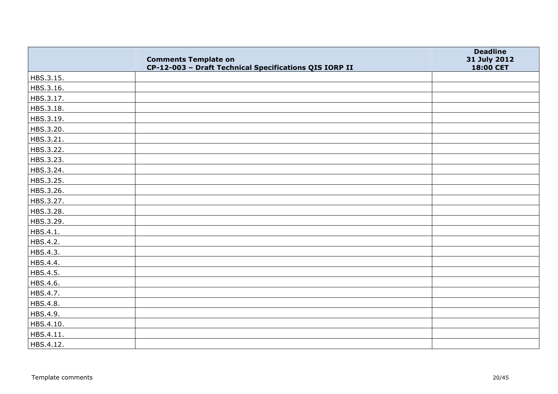|           | <b>Comments Template on</b><br>CP-12-003 - Draft Technical Specifications QIS IORP II | <b>Deadline</b><br>31 July 2012<br>18:00 CET |
|-----------|---------------------------------------------------------------------------------------|----------------------------------------------|
| HBS.3.15. |                                                                                       |                                              |
| HBS.3.16. |                                                                                       |                                              |
| HBS.3.17. |                                                                                       |                                              |
| HBS.3.18. |                                                                                       |                                              |
| HBS.3.19. |                                                                                       |                                              |
| HBS.3.20. |                                                                                       |                                              |
| HBS.3.21. |                                                                                       |                                              |
| HBS.3.22. |                                                                                       |                                              |
| HBS.3.23. |                                                                                       |                                              |
| HBS.3.24. |                                                                                       |                                              |
| HBS.3.25. |                                                                                       |                                              |
| HBS.3.26. |                                                                                       |                                              |
| HBS.3.27. |                                                                                       |                                              |
| HBS.3.28. |                                                                                       |                                              |
| HBS.3.29. |                                                                                       |                                              |
| HBS.4.1.  |                                                                                       |                                              |
| HBS.4.2.  |                                                                                       |                                              |
| HBS.4.3.  |                                                                                       |                                              |
| HBS.4.4.  |                                                                                       |                                              |
| HBS.4.5.  |                                                                                       |                                              |
| HBS.4.6.  |                                                                                       |                                              |
| HBS.4.7.  |                                                                                       |                                              |
| HBS.4.8.  |                                                                                       |                                              |
| HBS.4.9.  |                                                                                       |                                              |
| HBS.4.10. |                                                                                       |                                              |
| HBS.4.11. |                                                                                       |                                              |
| HBS.4.12. |                                                                                       |                                              |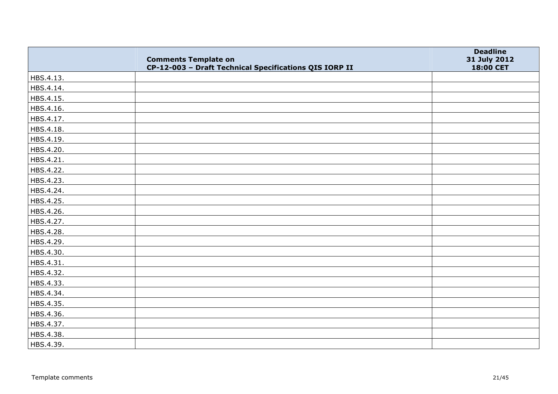|           | <b>Comments Template on</b><br>CP-12-003 - Draft Technical Specifications QIS IORP II | <b>Deadline</b><br>31 July 2012<br>18:00 CET |
|-----------|---------------------------------------------------------------------------------------|----------------------------------------------|
| HBS.4.13. |                                                                                       |                                              |
| HBS.4.14. |                                                                                       |                                              |
| HBS.4.15. |                                                                                       |                                              |
| HBS.4.16. |                                                                                       |                                              |
| HBS.4.17. |                                                                                       |                                              |
| HBS.4.18. |                                                                                       |                                              |
| HBS.4.19. |                                                                                       |                                              |
| HBS.4.20. |                                                                                       |                                              |
| HBS.4.21. |                                                                                       |                                              |
| HBS.4.22. |                                                                                       |                                              |
| HBS.4.23. |                                                                                       |                                              |
| HBS.4.24. |                                                                                       |                                              |
| HBS.4.25. |                                                                                       |                                              |
| HBS.4.26. |                                                                                       |                                              |
| HBS.4.27. |                                                                                       |                                              |
| HBS.4.28. |                                                                                       |                                              |
| HBS.4.29. |                                                                                       |                                              |
| HBS.4.30. |                                                                                       |                                              |
| HBS.4.31. |                                                                                       |                                              |
| HBS.4.32. |                                                                                       |                                              |
| HBS.4.33. |                                                                                       |                                              |
| HBS.4.34. |                                                                                       |                                              |
| HBS.4.35. |                                                                                       |                                              |
| HBS.4.36. |                                                                                       |                                              |
| HBS.4.37. |                                                                                       |                                              |
| HBS.4.38. |                                                                                       |                                              |
| HBS.4.39. |                                                                                       |                                              |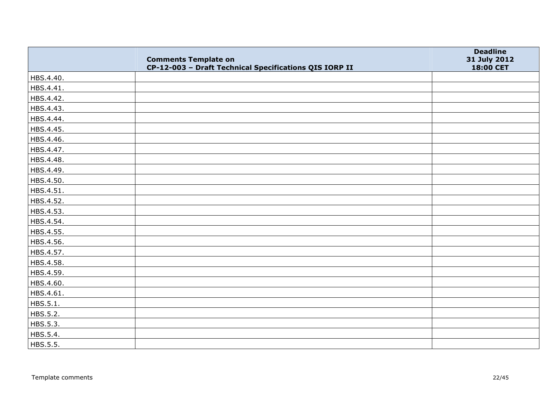|           | <b>Comments Template on</b><br>CP-12-003 - Draft Technical Specifications QIS IORP II | <b>Deadline</b><br>31 July 2012<br>18:00 CET |
|-----------|---------------------------------------------------------------------------------------|----------------------------------------------|
| HBS.4.40. |                                                                                       |                                              |
| HBS.4.41. |                                                                                       |                                              |
| HBS.4.42. |                                                                                       |                                              |
| HBS.4.43. |                                                                                       |                                              |
| HBS.4.44. |                                                                                       |                                              |
| HBS.4.45. |                                                                                       |                                              |
| HBS.4.46. |                                                                                       |                                              |
| HBS.4.47. |                                                                                       |                                              |
| HBS.4.48. |                                                                                       |                                              |
| HBS.4.49. |                                                                                       |                                              |
| HBS.4.50. |                                                                                       |                                              |
| HBS.4.51. |                                                                                       |                                              |
| HBS.4.52. |                                                                                       |                                              |
| HBS.4.53. |                                                                                       |                                              |
| HBS.4.54. |                                                                                       |                                              |
| HBS.4.55. |                                                                                       |                                              |
| HBS.4.56. |                                                                                       |                                              |
| HBS.4.57. |                                                                                       |                                              |
| HBS.4.58. |                                                                                       |                                              |
| HBS.4.59. |                                                                                       |                                              |
| HBS.4.60. |                                                                                       |                                              |
| HBS.4.61. |                                                                                       |                                              |
| HBS.5.1.  |                                                                                       |                                              |
| HBS.5.2.  |                                                                                       |                                              |
| HBS.5.3.  |                                                                                       |                                              |
| HBS.5.4.  |                                                                                       |                                              |
| HBS.5.5.  |                                                                                       |                                              |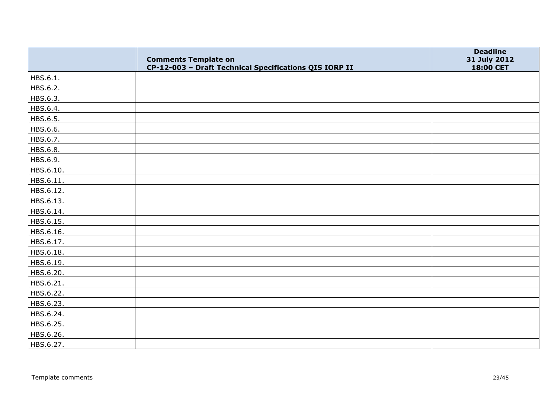|           | <b>Comments Template on</b><br>CP-12-003 - Draft Technical Specifications QIS IORP II | <b>Deadline</b><br>31 July 2012<br>18:00 CET |
|-----------|---------------------------------------------------------------------------------------|----------------------------------------------|
| HBS.6.1.  |                                                                                       |                                              |
| HBS.6.2.  |                                                                                       |                                              |
| HBS.6.3.  |                                                                                       |                                              |
| HBS.6.4.  |                                                                                       |                                              |
| HBS.6.5.  |                                                                                       |                                              |
| HBS.6.6.  |                                                                                       |                                              |
| HBS.6.7.  |                                                                                       |                                              |
| HBS.6.8.  |                                                                                       |                                              |
| HBS.6.9.  |                                                                                       |                                              |
| HBS.6.10. |                                                                                       |                                              |
| HBS.6.11. |                                                                                       |                                              |
| HBS.6.12. |                                                                                       |                                              |
| HBS.6.13. |                                                                                       |                                              |
| HBS.6.14. |                                                                                       |                                              |
| HBS.6.15. |                                                                                       |                                              |
| HBS.6.16. |                                                                                       |                                              |
| HBS.6.17. |                                                                                       |                                              |
| HBS.6.18. |                                                                                       |                                              |
| HBS.6.19. |                                                                                       |                                              |
| HBS.6.20. |                                                                                       |                                              |
| HBS.6.21. |                                                                                       |                                              |
| HBS.6.22. |                                                                                       |                                              |
| HBS.6.23. |                                                                                       |                                              |
| HBS.6.24. |                                                                                       |                                              |
| HBS.6.25. |                                                                                       |                                              |
| HBS.6.26. |                                                                                       |                                              |
| HBS.6.27. |                                                                                       |                                              |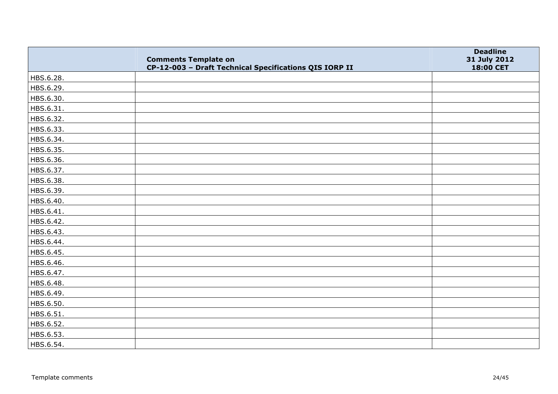|           | <b>Comments Template on</b><br>CP-12-003 - Draft Technical Specifications QIS IORP II | <b>Deadline</b><br>31 July 2012<br>18:00 CET |
|-----------|---------------------------------------------------------------------------------------|----------------------------------------------|
| HBS.6.28. |                                                                                       |                                              |
| HBS.6.29. |                                                                                       |                                              |
| HBS.6.30. |                                                                                       |                                              |
| HBS.6.31. |                                                                                       |                                              |
| HBS.6.32. |                                                                                       |                                              |
| HBS.6.33. |                                                                                       |                                              |
| HBS.6.34. |                                                                                       |                                              |
| HBS.6.35. |                                                                                       |                                              |
| HBS.6.36. |                                                                                       |                                              |
| HBS.6.37. |                                                                                       |                                              |
| HBS.6.38. |                                                                                       |                                              |
| HBS.6.39. |                                                                                       |                                              |
| HBS.6.40. |                                                                                       |                                              |
| HBS.6.41. |                                                                                       |                                              |
| HBS.6.42. |                                                                                       |                                              |
| HBS.6.43. |                                                                                       |                                              |
| HBS.6.44. |                                                                                       |                                              |
| HBS.6.45. |                                                                                       |                                              |
| HBS.6.46. |                                                                                       |                                              |
| HBS.6.47. |                                                                                       |                                              |
| HBS.6.48. |                                                                                       |                                              |
| HBS.6.49. |                                                                                       |                                              |
| HBS.6.50. |                                                                                       |                                              |
| HBS.6.51. |                                                                                       |                                              |
| HBS.6.52. |                                                                                       |                                              |
| HBS.6.53. |                                                                                       |                                              |
| HBS.6.54. |                                                                                       |                                              |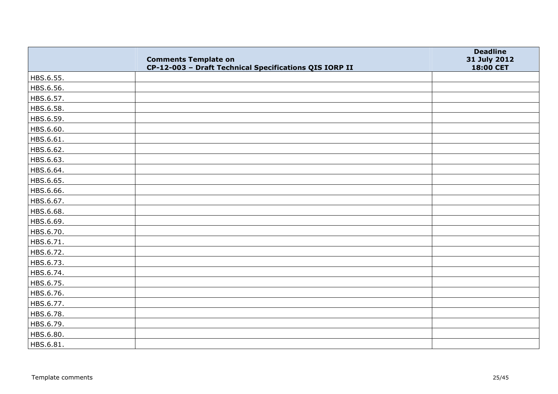|           | <b>Comments Template on</b><br>CP-12-003 - Draft Technical Specifications QIS IORP II | <b>Deadline</b><br>31 July 2012<br>18:00 CET |
|-----------|---------------------------------------------------------------------------------------|----------------------------------------------|
| HBS.6.55. |                                                                                       |                                              |
| HBS.6.56. |                                                                                       |                                              |
| HBS.6.57. |                                                                                       |                                              |
| HBS.6.58. |                                                                                       |                                              |
| HBS.6.59. |                                                                                       |                                              |
| HBS.6.60. |                                                                                       |                                              |
| HBS.6.61. |                                                                                       |                                              |
| HBS.6.62. |                                                                                       |                                              |
| HBS.6.63. |                                                                                       |                                              |
| HBS.6.64. |                                                                                       |                                              |
| HBS.6.65. |                                                                                       |                                              |
| HBS.6.66. |                                                                                       |                                              |
| HBS.6.67. |                                                                                       |                                              |
| HBS.6.68. |                                                                                       |                                              |
| HBS.6.69. |                                                                                       |                                              |
| HBS.6.70. |                                                                                       |                                              |
| HBS.6.71. |                                                                                       |                                              |
| HBS.6.72. |                                                                                       |                                              |
| HBS.6.73. |                                                                                       |                                              |
| HBS.6.74. |                                                                                       |                                              |
| HBS.6.75. |                                                                                       |                                              |
| HBS.6.76. |                                                                                       |                                              |
| HBS.6.77. |                                                                                       |                                              |
| HBS.6.78. |                                                                                       |                                              |
| HBS.6.79. |                                                                                       |                                              |
| HBS.6.80. |                                                                                       |                                              |
| HBS.6.81. |                                                                                       |                                              |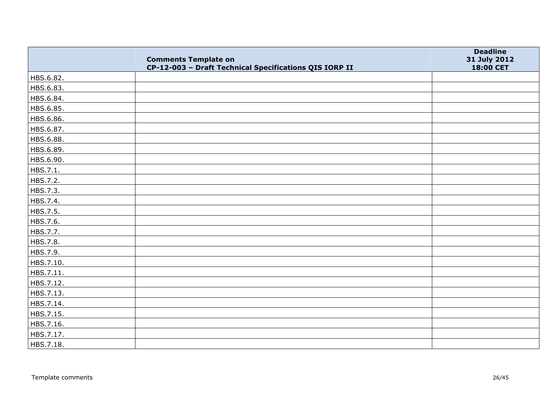|           | <b>Comments Template on</b><br>CP-12-003 - Draft Technical Specifications QIS IORP II | <b>Deadline</b><br>31 July 2012<br>18:00 CET |
|-----------|---------------------------------------------------------------------------------------|----------------------------------------------|
| HBS.6.82. |                                                                                       |                                              |
| HBS.6.83. |                                                                                       |                                              |
| HBS.6.84. |                                                                                       |                                              |
| HBS.6.85. |                                                                                       |                                              |
| HBS.6.86. |                                                                                       |                                              |
| HBS.6.87. |                                                                                       |                                              |
| HBS.6.88. |                                                                                       |                                              |
| HBS.6.89. |                                                                                       |                                              |
| HBS.6.90. |                                                                                       |                                              |
| HBS.7.1.  |                                                                                       |                                              |
| HBS.7.2.  |                                                                                       |                                              |
| HBS.7.3.  |                                                                                       |                                              |
| HBS.7.4.  |                                                                                       |                                              |
| HBS.7.5.  |                                                                                       |                                              |
| HBS.7.6.  |                                                                                       |                                              |
| HBS.7.7.  |                                                                                       |                                              |
| HBS.7.8.  |                                                                                       |                                              |
| HBS.7.9.  |                                                                                       |                                              |
| HBS.7.10. |                                                                                       |                                              |
| HBS.7.11. |                                                                                       |                                              |
| HBS.7.12. |                                                                                       |                                              |
| HBS.7.13. |                                                                                       |                                              |
| HBS.7.14. |                                                                                       |                                              |
| HBS.7.15. |                                                                                       |                                              |
| HBS.7.16. |                                                                                       |                                              |
| HBS.7.17. |                                                                                       |                                              |
| HBS.7.18. |                                                                                       |                                              |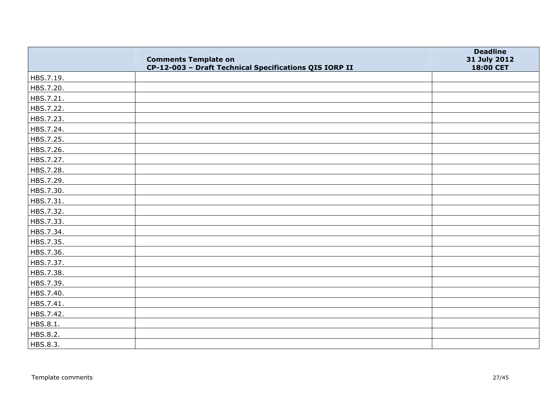|           | <b>Comments Template on</b><br>CP-12-003 - Draft Technical Specifications QIS IORP II | <b>Deadline</b><br>31 July 2012<br>18:00 CET |
|-----------|---------------------------------------------------------------------------------------|----------------------------------------------|
| HBS.7.19. |                                                                                       |                                              |
| HBS.7.20. |                                                                                       |                                              |
| HBS.7.21. |                                                                                       |                                              |
| HBS.7.22. |                                                                                       |                                              |
| HBS.7.23. |                                                                                       |                                              |
| HBS.7.24. |                                                                                       |                                              |
| HBS.7.25. |                                                                                       |                                              |
| HBS.7.26. |                                                                                       |                                              |
| HBS.7.27. |                                                                                       |                                              |
| HBS.7.28. |                                                                                       |                                              |
| HBS.7.29. |                                                                                       |                                              |
| HBS.7.30. |                                                                                       |                                              |
| HBS.7.31. |                                                                                       |                                              |
| HBS.7.32. |                                                                                       |                                              |
| HBS.7.33. |                                                                                       |                                              |
| HBS.7.34. |                                                                                       |                                              |
| HBS.7.35. |                                                                                       |                                              |
| HBS.7.36. |                                                                                       |                                              |
| HBS.7.37. |                                                                                       |                                              |
| HBS.7.38. |                                                                                       |                                              |
| HBS.7.39. |                                                                                       |                                              |
| HBS.7.40. |                                                                                       |                                              |
| HBS.7.41. |                                                                                       |                                              |
| HBS.7.42. |                                                                                       |                                              |
| HBS.8.1.  |                                                                                       |                                              |
| HBS.8.2.  |                                                                                       |                                              |
| HBS.8.3.  |                                                                                       |                                              |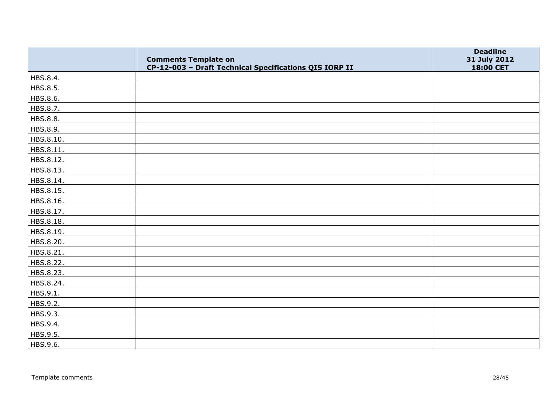|           | <b>Comments Template on</b><br>CP-12-003 - Draft Technical Specifications QIS IORP II | <b>Deadline</b><br>31 July 2012<br>18:00 CET |
|-----------|---------------------------------------------------------------------------------------|----------------------------------------------|
| HBS.8.4.  |                                                                                       |                                              |
| HBS.8.5.  |                                                                                       |                                              |
| HBS.8.6.  |                                                                                       |                                              |
| HBS.8.7.  |                                                                                       |                                              |
| HBS.8.8.  |                                                                                       |                                              |
| HBS.8.9.  |                                                                                       |                                              |
| HBS.8.10. |                                                                                       |                                              |
| HBS.8.11. |                                                                                       |                                              |
| HBS.8.12. |                                                                                       |                                              |
| HBS.8.13. |                                                                                       |                                              |
| HBS.8.14. |                                                                                       |                                              |
| HBS.8.15. |                                                                                       |                                              |
| HBS.8.16. |                                                                                       |                                              |
| HBS.8.17. |                                                                                       |                                              |
| HBS.8.18. |                                                                                       |                                              |
| HBS.8.19. |                                                                                       |                                              |
| HBS.8.20. |                                                                                       |                                              |
| HBS.8.21. |                                                                                       |                                              |
| HBS.8.22. |                                                                                       |                                              |
| HBS.8.23. |                                                                                       |                                              |
| HBS.8.24. |                                                                                       |                                              |
| HBS.9.1.  |                                                                                       |                                              |
| HBS.9.2.  |                                                                                       |                                              |
| HBS.9.3.  |                                                                                       |                                              |
| HBS.9.4.  |                                                                                       |                                              |
| HBS.9.5.  |                                                                                       |                                              |
| HBS.9.6.  |                                                                                       |                                              |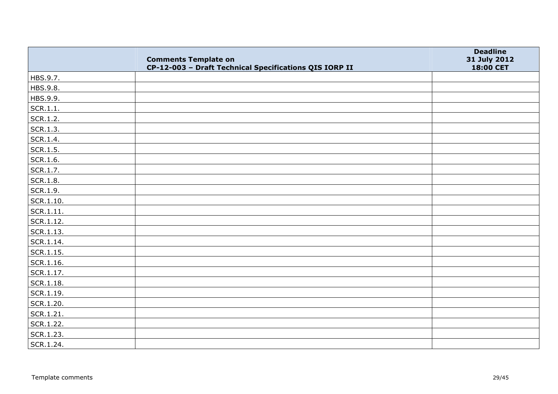|           | <b>Comments Template on</b><br>CP-12-003 - Draft Technical Specifications QIS IORP II | <b>Deadline</b><br>31 July 2012<br>18:00 CET |
|-----------|---------------------------------------------------------------------------------------|----------------------------------------------|
| HBS.9.7.  |                                                                                       |                                              |
| HBS.9.8.  |                                                                                       |                                              |
| HBS.9.9.  |                                                                                       |                                              |
| SCR.1.1.  |                                                                                       |                                              |
| SCR.1.2.  |                                                                                       |                                              |
| SCR.1.3.  |                                                                                       |                                              |
| SCR.1.4.  |                                                                                       |                                              |
| SCR.1.5.  |                                                                                       |                                              |
| SCR.1.6.  |                                                                                       |                                              |
| SCR.1.7.  |                                                                                       |                                              |
| SCR.1.8.  |                                                                                       |                                              |
| SCR.1.9.  |                                                                                       |                                              |
| SCR.1.10. |                                                                                       |                                              |
| SCR.1.11. |                                                                                       |                                              |
| SCR.1.12. |                                                                                       |                                              |
| SCR.1.13. |                                                                                       |                                              |
| SCR.1.14. |                                                                                       |                                              |
| SCR.1.15. |                                                                                       |                                              |
| SCR.1.16. |                                                                                       |                                              |
| SCR.1.17. |                                                                                       |                                              |
| SCR.1.18. |                                                                                       |                                              |
| SCR.1.19. |                                                                                       |                                              |
| SCR.1.20. |                                                                                       |                                              |
| SCR.1.21. |                                                                                       |                                              |
| SCR.1.22. |                                                                                       |                                              |
| SCR.1.23. |                                                                                       |                                              |
| SCR.1.24. |                                                                                       |                                              |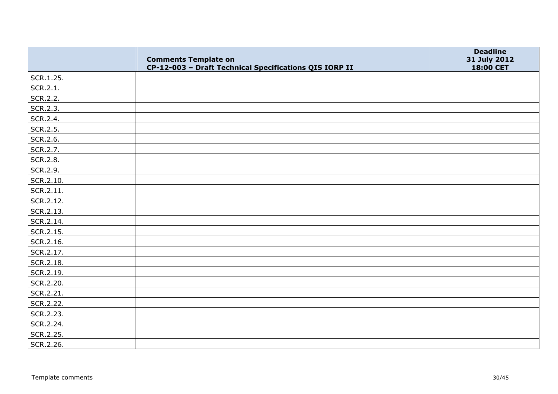|           | <b>Comments Template on</b><br>CP-12-003 - Draft Technical Specifications QIS IORP II | <b>Deadline</b><br>31 July 2012<br>18:00 CET |
|-----------|---------------------------------------------------------------------------------------|----------------------------------------------|
| SCR.1.25. |                                                                                       |                                              |
| SCR.2.1.  |                                                                                       |                                              |
| SCR.2.2.  |                                                                                       |                                              |
| SCR.2.3.  |                                                                                       |                                              |
| SCR.2.4.  |                                                                                       |                                              |
| SCR.2.5.  |                                                                                       |                                              |
| SCR.2.6.  |                                                                                       |                                              |
| SCR.2.7.  |                                                                                       |                                              |
| SCR.2.8.  |                                                                                       |                                              |
| SCR.2.9.  |                                                                                       |                                              |
| SCR.2.10. |                                                                                       |                                              |
| SCR.2.11. |                                                                                       |                                              |
| SCR.2.12. |                                                                                       |                                              |
| SCR.2.13. |                                                                                       |                                              |
| SCR.2.14. |                                                                                       |                                              |
| SCR.2.15. |                                                                                       |                                              |
| SCR.2.16. |                                                                                       |                                              |
| SCR.2.17. |                                                                                       |                                              |
| SCR.2.18. |                                                                                       |                                              |
| SCR.2.19. |                                                                                       |                                              |
| SCR.2.20. |                                                                                       |                                              |
| SCR.2.21. |                                                                                       |                                              |
| SCR.2.22. |                                                                                       |                                              |
| SCR.2.23. |                                                                                       |                                              |
| SCR.2.24. |                                                                                       |                                              |
| SCR.2.25. |                                                                                       |                                              |
| SCR.2.26. |                                                                                       |                                              |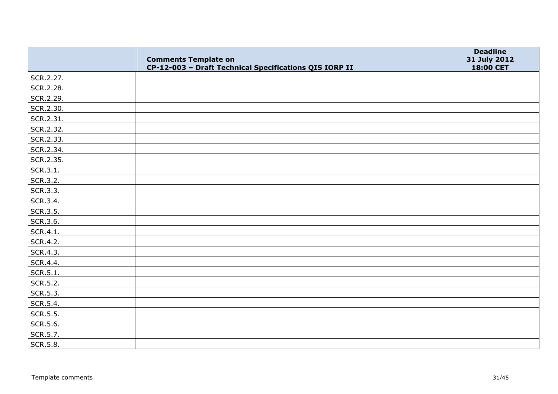|           | <b>Comments Template on</b><br>CP-12-003 - Draft Technical Specifications QIS IORP II | <b>Deadline</b><br>31 July 2012<br>18:00 CET |
|-----------|---------------------------------------------------------------------------------------|----------------------------------------------|
| SCR.2.27. |                                                                                       |                                              |
| SCR.2.28. |                                                                                       |                                              |
| SCR.2.29. |                                                                                       |                                              |
| SCR.2.30. |                                                                                       |                                              |
| SCR.2.31. |                                                                                       |                                              |
| SCR.2.32. |                                                                                       |                                              |
| SCR.2.33. |                                                                                       |                                              |
| SCR.2.34. |                                                                                       |                                              |
| SCR.2.35. |                                                                                       |                                              |
| SCR.3.1.  |                                                                                       |                                              |
| SCR.3.2.  |                                                                                       |                                              |
| SCR.3.3.  |                                                                                       |                                              |
| SCR.3.4.  |                                                                                       |                                              |
| SCR.3.5.  |                                                                                       |                                              |
| SCR.3.6.  |                                                                                       |                                              |
| SCR.4.1.  |                                                                                       |                                              |
| SCR.4.2.  |                                                                                       |                                              |
| SCR.4.3.  |                                                                                       |                                              |
| SCR.4.4.  |                                                                                       |                                              |
| SCR.5.1.  |                                                                                       |                                              |
| SCR.5.2.  |                                                                                       |                                              |
| SCR.5.3.  |                                                                                       |                                              |
| SCR.5.4.  |                                                                                       |                                              |
| SCR.5.5.  |                                                                                       |                                              |
| SCR.5.6.  |                                                                                       |                                              |
| SCR.5.7.  |                                                                                       |                                              |
| SCR.5.8.  |                                                                                       |                                              |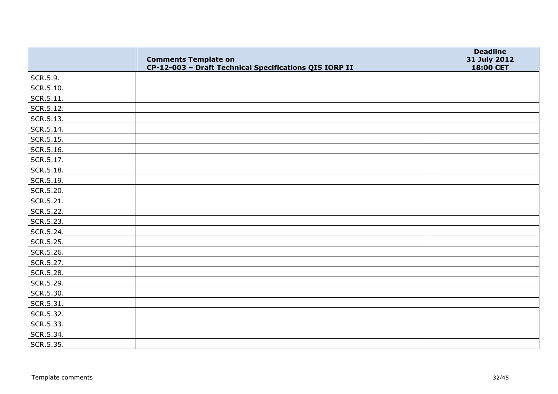|           | <b>Comments Template on</b><br>CP-12-003 - Draft Technical Specifications QIS IORP II | <b>Deadline</b><br>31 July 2012<br>18:00 CET |
|-----------|---------------------------------------------------------------------------------------|----------------------------------------------|
| SCR.5.9.  |                                                                                       |                                              |
| SCR.5.10. |                                                                                       |                                              |
| SCR.5.11. |                                                                                       |                                              |
| SCR.5.12. |                                                                                       |                                              |
| SCR.5.13. |                                                                                       |                                              |
| SCR.5.14. |                                                                                       |                                              |
| SCR.5.15. |                                                                                       |                                              |
| SCR.5.16. |                                                                                       |                                              |
| SCR.5.17. |                                                                                       |                                              |
| SCR.5.18. |                                                                                       |                                              |
| SCR.5.19. |                                                                                       |                                              |
| SCR.5.20. |                                                                                       |                                              |
| SCR.5.21. |                                                                                       |                                              |
| SCR.5.22. |                                                                                       |                                              |
| SCR.5.23. |                                                                                       |                                              |
| SCR.5.24. |                                                                                       |                                              |
| SCR.5.25. |                                                                                       |                                              |
| SCR.5.26. |                                                                                       |                                              |
| SCR.5.27. |                                                                                       |                                              |
| SCR.5.28. |                                                                                       |                                              |
| SCR.5.29. |                                                                                       |                                              |
| SCR.5.30. |                                                                                       |                                              |
| SCR.5.31. |                                                                                       |                                              |
| SCR.5.32. |                                                                                       |                                              |
| SCR.5.33. |                                                                                       |                                              |
| SCR.5.34. |                                                                                       |                                              |
| SCR.5.35. |                                                                                       |                                              |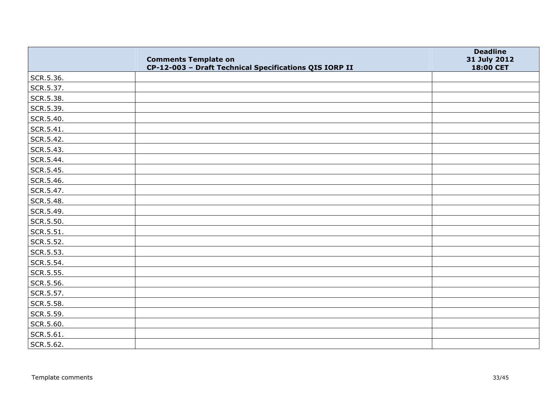|           | <b>Comments Template on</b><br>CP-12-003 - Draft Technical Specifications QIS IORP II | <b>Deadline</b><br>31 July 2012<br>18:00 CET |
|-----------|---------------------------------------------------------------------------------------|----------------------------------------------|
| SCR.5.36. |                                                                                       |                                              |
| SCR.5.37. |                                                                                       |                                              |
| SCR.5.38. |                                                                                       |                                              |
| SCR.5.39. |                                                                                       |                                              |
| SCR.5.40. |                                                                                       |                                              |
| SCR.5.41. |                                                                                       |                                              |
| SCR.5.42. |                                                                                       |                                              |
| SCR.5.43. |                                                                                       |                                              |
| SCR.5.44. |                                                                                       |                                              |
| SCR.5.45. |                                                                                       |                                              |
| SCR.5.46. |                                                                                       |                                              |
| SCR.5.47. |                                                                                       |                                              |
| SCR.5.48. |                                                                                       |                                              |
| SCR.5.49. |                                                                                       |                                              |
| SCR.5.50. |                                                                                       |                                              |
| SCR.5.51. |                                                                                       |                                              |
| SCR.5.52. |                                                                                       |                                              |
| SCR.5.53. |                                                                                       |                                              |
| SCR.5.54. |                                                                                       |                                              |
| SCR.5.55. |                                                                                       |                                              |
| SCR.5.56. |                                                                                       |                                              |
| SCR.5.57. |                                                                                       |                                              |
| SCR.5.58. |                                                                                       |                                              |
| SCR.5.59. |                                                                                       |                                              |
| SCR.5.60. |                                                                                       |                                              |
| SCR.5.61. |                                                                                       |                                              |
| SCR.5.62. |                                                                                       |                                              |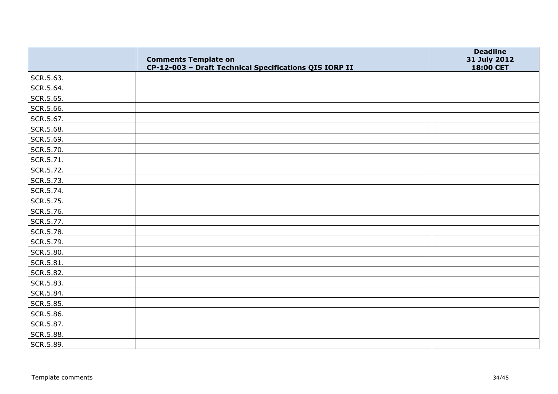|               | <b>Comments Template on</b><br>CP-12-003 - Draft Technical Specifications QIS IORP II | <b>Deadline</b><br>31 July 2012<br>18:00 CET |
|---------------|---------------------------------------------------------------------------------------|----------------------------------------------|
| SCR.5.63.     |                                                                                       |                                              |
| SCR.5.64.     |                                                                                       |                                              |
| SCR.5.65.     |                                                                                       |                                              |
| SCR.5.66.     |                                                                                       |                                              |
| SCR.5.67.     |                                                                                       |                                              |
| SCR.5.68.     |                                                                                       |                                              |
| SCR.5.69.     |                                                                                       |                                              |
| SCR.5.70.     |                                                                                       |                                              |
| SCR.5.71.     |                                                                                       |                                              |
| SCR.5.72.     |                                                                                       |                                              |
| SCR.5.73.     |                                                                                       |                                              |
| SCR.5.74.     |                                                                                       |                                              |
| SCR.5.75.     |                                                                                       |                                              |
| SCR.5.76.     |                                                                                       |                                              |
| SCR.5.77.     |                                                                                       |                                              |
| SCR.5.78.     |                                                                                       |                                              |
| SCR.5.79.     |                                                                                       |                                              |
| SCR.5.80.     |                                                                                       |                                              |
| $ $ SCR.5.81. |                                                                                       |                                              |
| SCR.5.82.     |                                                                                       |                                              |
| SCR.5.83.     |                                                                                       |                                              |
| SCR.5.84.     |                                                                                       |                                              |
| SCR.5.85.     |                                                                                       |                                              |
| SCR.5.86.     |                                                                                       |                                              |
| SCR.5.87.     |                                                                                       |                                              |
| SCR.5.88.     |                                                                                       |                                              |
| SCR.5.89.     |                                                                                       |                                              |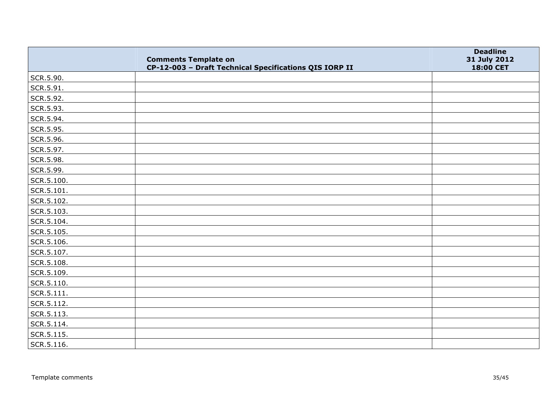|            | <b>Comments Template on</b><br>CP-12-003 - Draft Technical Specifications QIS IORP II | <b>Deadline</b><br>31 July 2012<br>18:00 CET |
|------------|---------------------------------------------------------------------------------------|----------------------------------------------|
| SCR.5.90.  |                                                                                       |                                              |
| SCR.5.91.  |                                                                                       |                                              |
| SCR.5.92.  |                                                                                       |                                              |
| SCR.5.93.  |                                                                                       |                                              |
| SCR.5.94.  |                                                                                       |                                              |
| SCR.5.95.  |                                                                                       |                                              |
| SCR.5.96.  |                                                                                       |                                              |
| SCR.5.97.  |                                                                                       |                                              |
| SCR.5.98.  |                                                                                       |                                              |
| SCR.5.99.  |                                                                                       |                                              |
| SCR.5.100. |                                                                                       |                                              |
| SCR.5.101. |                                                                                       |                                              |
| SCR.5.102. |                                                                                       |                                              |
| SCR.5.103. |                                                                                       |                                              |
| SCR.5.104. |                                                                                       |                                              |
| SCR.5.105. |                                                                                       |                                              |
| SCR.5.106. |                                                                                       |                                              |
| SCR.5.107. |                                                                                       |                                              |
| SCR.5.108. |                                                                                       |                                              |
| SCR.5.109. |                                                                                       |                                              |
| SCR.5.110. |                                                                                       |                                              |
| SCR.5.111. |                                                                                       |                                              |
| SCR.5.112. |                                                                                       |                                              |
| SCR.5.113. |                                                                                       |                                              |
| SCR.5.114. |                                                                                       |                                              |
| SCR.5.115. |                                                                                       |                                              |
| SCR.5.116. |                                                                                       |                                              |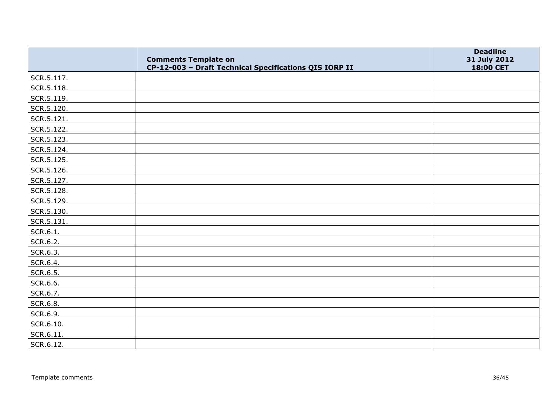|            | <b>Comments Template on</b><br>CP-12-003 - Draft Technical Specifications QIS IORP II | <b>Deadline</b><br>31 July 2012<br>18:00 CET |
|------------|---------------------------------------------------------------------------------------|----------------------------------------------|
| SCR.5.117. |                                                                                       |                                              |
| SCR.5.118. |                                                                                       |                                              |
| SCR.5.119. |                                                                                       |                                              |
| SCR.5.120. |                                                                                       |                                              |
| SCR.5.121. |                                                                                       |                                              |
| SCR.5.122. |                                                                                       |                                              |
| SCR.5.123. |                                                                                       |                                              |
| SCR.5.124. |                                                                                       |                                              |
| SCR.5.125. |                                                                                       |                                              |
| SCR.5.126. |                                                                                       |                                              |
| SCR.5.127. |                                                                                       |                                              |
| SCR.5.128. |                                                                                       |                                              |
| SCR.5.129. |                                                                                       |                                              |
| SCR.5.130. |                                                                                       |                                              |
| SCR.5.131. |                                                                                       |                                              |
| SCR.6.1.   |                                                                                       |                                              |
| SCR.6.2.   |                                                                                       |                                              |
| SCR.6.3.   |                                                                                       |                                              |
| SCR.6.4.   |                                                                                       |                                              |
| SCR.6.5.   |                                                                                       |                                              |
| SCR.6.6.   |                                                                                       |                                              |
| SCR.6.7.   |                                                                                       |                                              |
| SCR.6.8.   |                                                                                       |                                              |
| SCR.6.9.   |                                                                                       |                                              |
| SCR.6.10.  |                                                                                       |                                              |
| SCR.6.11.  |                                                                                       |                                              |
| SCR.6.12.  |                                                                                       |                                              |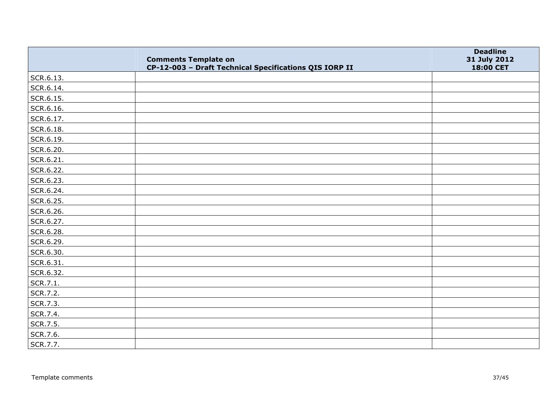|           | <b>Comments Template on</b><br>CP-12-003 - Draft Technical Specifications QIS IORP II | <b>Deadline</b><br>31 July 2012<br>18:00 CET |
|-----------|---------------------------------------------------------------------------------------|----------------------------------------------|
| SCR.6.13. |                                                                                       |                                              |
| SCR.6.14. |                                                                                       |                                              |
| SCR.6.15. |                                                                                       |                                              |
| SCR.6.16. |                                                                                       |                                              |
| SCR.6.17. |                                                                                       |                                              |
| SCR.6.18. |                                                                                       |                                              |
| SCR.6.19. |                                                                                       |                                              |
| SCR.6.20. |                                                                                       |                                              |
| SCR.6.21. |                                                                                       |                                              |
| SCR.6.22. |                                                                                       |                                              |
| SCR.6.23. |                                                                                       |                                              |
| SCR.6.24. |                                                                                       |                                              |
| SCR.6.25. |                                                                                       |                                              |
| SCR.6.26. |                                                                                       |                                              |
| SCR.6.27. |                                                                                       |                                              |
| SCR.6.28. |                                                                                       |                                              |
| SCR.6.29. |                                                                                       |                                              |
| SCR.6.30. |                                                                                       |                                              |
| SCR.6.31. |                                                                                       |                                              |
| SCR.6.32. |                                                                                       |                                              |
| SCR.7.1.  |                                                                                       |                                              |
| SCR.7.2.  |                                                                                       |                                              |
| SCR.7.3.  |                                                                                       |                                              |
| SCR.7.4.  |                                                                                       |                                              |
| SCR.7.5.  |                                                                                       |                                              |
| SCR.7.6.  |                                                                                       |                                              |
| SCR.7.7.  |                                                                                       |                                              |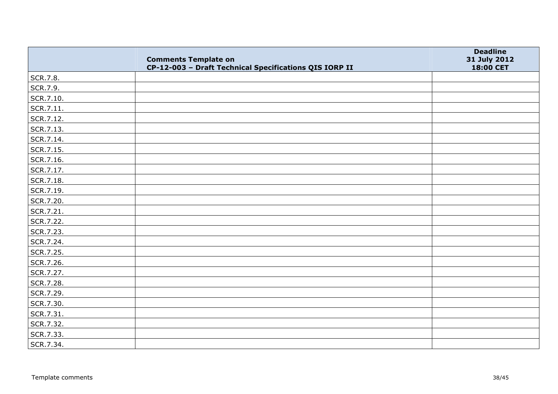|           | <b>Comments Template on</b><br>CP-12-003 - Draft Technical Specifications QIS IORP II | <b>Deadline</b><br>31 July 2012<br>18:00 CET |
|-----------|---------------------------------------------------------------------------------------|----------------------------------------------|
| SCR.7.8.  |                                                                                       |                                              |
| SCR.7.9.  |                                                                                       |                                              |
| SCR.7.10. |                                                                                       |                                              |
| SCR.7.11. |                                                                                       |                                              |
| SCR.7.12. |                                                                                       |                                              |
| SCR.7.13. |                                                                                       |                                              |
| SCR.7.14. |                                                                                       |                                              |
| SCR.7.15. |                                                                                       |                                              |
| SCR.7.16. |                                                                                       |                                              |
| SCR.7.17. |                                                                                       |                                              |
| SCR.7.18. |                                                                                       |                                              |
| SCR.7.19. |                                                                                       |                                              |
| SCR.7.20. |                                                                                       |                                              |
| SCR.7.21. |                                                                                       |                                              |
| SCR.7.22. |                                                                                       |                                              |
| SCR.7.23. |                                                                                       |                                              |
| SCR.7.24. |                                                                                       |                                              |
| SCR.7.25. |                                                                                       |                                              |
| SCR.7.26. |                                                                                       |                                              |
| SCR.7.27. |                                                                                       |                                              |
| SCR.7.28. |                                                                                       |                                              |
| SCR.7.29. |                                                                                       |                                              |
| SCR.7.30. |                                                                                       |                                              |
| SCR.7.31. |                                                                                       |                                              |
| SCR.7.32. |                                                                                       |                                              |
| SCR.7.33. |                                                                                       |                                              |
| SCR.7.34. |                                                                                       |                                              |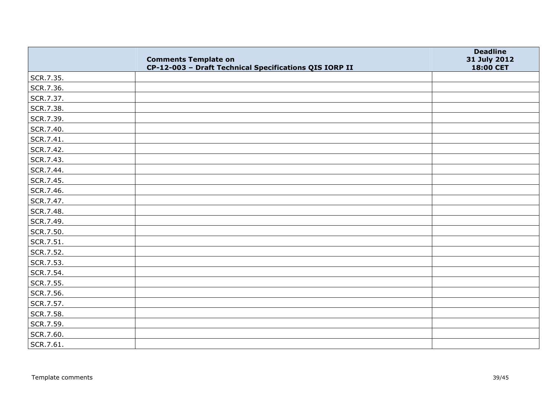|           | <b>Comments Template on</b><br>CP-12-003 - Draft Technical Specifications QIS IORP II | <b>Deadline</b><br>31 July 2012<br>18:00 CET |
|-----------|---------------------------------------------------------------------------------------|----------------------------------------------|
| SCR.7.35. |                                                                                       |                                              |
| SCR.7.36. |                                                                                       |                                              |
| SCR.7.37. |                                                                                       |                                              |
| SCR.7.38. |                                                                                       |                                              |
| SCR.7.39. |                                                                                       |                                              |
| SCR.7.40. |                                                                                       |                                              |
| SCR.7.41. |                                                                                       |                                              |
| SCR.7.42. |                                                                                       |                                              |
| SCR.7.43. |                                                                                       |                                              |
| SCR.7.44. |                                                                                       |                                              |
| SCR.7.45. |                                                                                       |                                              |
| SCR.7.46. |                                                                                       |                                              |
| SCR.7.47. |                                                                                       |                                              |
| SCR.7.48. |                                                                                       |                                              |
| SCR.7.49. |                                                                                       |                                              |
| SCR.7.50. |                                                                                       |                                              |
| SCR.7.51. |                                                                                       |                                              |
| SCR.7.52. |                                                                                       |                                              |
| SCR.7.53. |                                                                                       |                                              |
| SCR.7.54. |                                                                                       |                                              |
| SCR.7.55. |                                                                                       |                                              |
| SCR.7.56. |                                                                                       |                                              |
| SCR.7.57. |                                                                                       |                                              |
| SCR.7.58. |                                                                                       |                                              |
| SCR.7.59. |                                                                                       |                                              |
| SCR.7.60. |                                                                                       |                                              |
| SCR.7.61. |                                                                                       |                                              |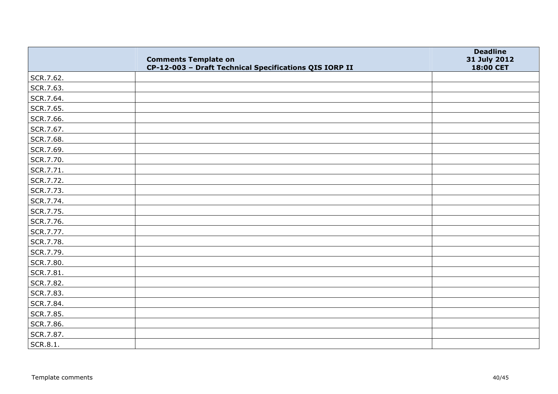|                 | <b>Comments Template on</b><br>CP-12-003 - Draft Technical Specifications QIS IORP II | <b>Deadline</b><br>31 July 2012<br>18:00 CET |
|-----------------|---------------------------------------------------------------------------------------|----------------------------------------------|
| SCR.7.62.       |                                                                                       |                                              |
| SCR.7.63.       |                                                                                       |                                              |
| SCR.7.64.       |                                                                                       |                                              |
| SCR.7.65.       |                                                                                       |                                              |
| SCR.7.66.       |                                                                                       |                                              |
| SCR.7.67.       |                                                                                       |                                              |
| SCR.7.68.       |                                                                                       |                                              |
| SCR.7.69.       |                                                                                       |                                              |
| SCR.7.70.       |                                                                                       |                                              |
| SCR.7.71.       |                                                                                       |                                              |
| SCR.7.72.       |                                                                                       |                                              |
| SCR.7.73.       |                                                                                       |                                              |
| SCR.7.74.       |                                                                                       |                                              |
| SCR.7.75.       |                                                                                       |                                              |
| SCR.7.76.       |                                                                                       |                                              |
| SCR.7.77.       |                                                                                       |                                              |
| SCR.7.78.       |                                                                                       |                                              |
| SCR.7.79.       |                                                                                       |                                              |
| SCR.7.80.       |                                                                                       |                                              |
| SCR.7.81.       |                                                                                       |                                              |
| SCR.7.82.       |                                                                                       |                                              |
| SCR.7.83.       |                                                                                       |                                              |
| SCR.7.84.       |                                                                                       |                                              |
| SCR.7.85.       |                                                                                       |                                              |
| SCR.7.86.       |                                                                                       |                                              |
| SCR.7.87.       |                                                                                       |                                              |
| <b>SCR.8.1.</b> |                                                                                       |                                              |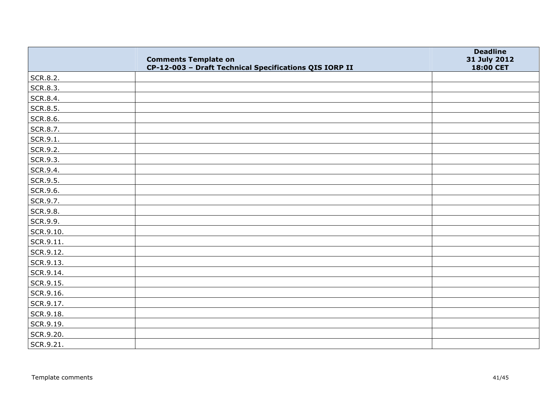|                 | <b>Comments Template on</b><br>CP-12-003 - Draft Technical Specifications QIS IORP II | <b>Deadline</b><br>31 July 2012<br>18:00 CET |
|-----------------|---------------------------------------------------------------------------------------|----------------------------------------------|
| SCR.8.2.        |                                                                                       |                                              |
| SCR.8.3.        |                                                                                       |                                              |
| SCR.8.4.        |                                                                                       |                                              |
| <b>SCR.8.5.</b> |                                                                                       |                                              |
| SCR.8.6.        |                                                                                       |                                              |
| SCR.8.7.        |                                                                                       |                                              |
| SCR.9.1.        |                                                                                       |                                              |
| SCR.9.2.        |                                                                                       |                                              |
| SCR.9.3.        |                                                                                       |                                              |
| SCR.9.4.        |                                                                                       |                                              |
| SCR.9.5.        |                                                                                       |                                              |
| SCR.9.6.        |                                                                                       |                                              |
| SCR.9.7.        |                                                                                       |                                              |
| <b>SCR.9.8.</b> |                                                                                       |                                              |
| SCR.9.9.        |                                                                                       |                                              |
| SCR.9.10.       |                                                                                       |                                              |
| SCR.9.11.       |                                                                                       |                                              |
| SCR.9.12.       |                                                                                       |                                              |
| SCR.9.13.       |                                                                                       |                                              |
| SCR.9.14.       |                                                                                       |                                              |
| SCR.9.15.       |                                                                                       |                                              |
| SCR.9.16.       |                                                                                       |                                              |
| SCR.9.17.       |                                                                                       |                                              |
| SCR.9.18.       |                                                                                       |                                              |
| SCR.9.19.       |                                                                                       |                                              |
| SCR.9.20.       |                                                                                       |                                              |
| SCR.9.21.       |                                                                                       |                                              |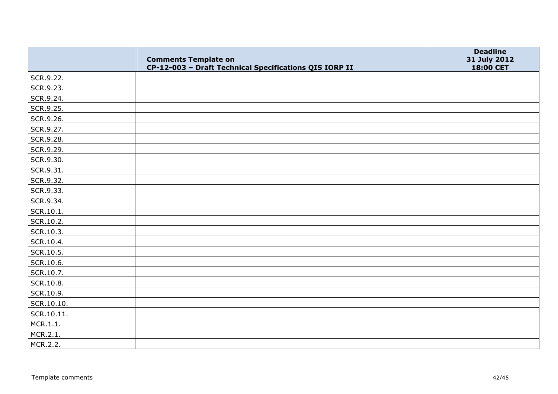|            | <b>Comments Template on</b><br>CP-12-003 - Draft Technical Specifications QIS IORP II | <b>Deadline</b><br>31 July 2012<br>18:00 CET |
|------------|---------------------------------------------------------------------------------------|----------------------------------------------|
| SCR.9.22.  |                                                                                       |                                              |
| SCR.9.23.  |                                                                                       |                                              |
| SCR.9.24.  |                                                                                       |                                              |
| SCR.9.25.  |                                                                                       |                                              |
| SCR.9.26.  |                                                                                       |                                              |
| SCR.9.27.  |                                                                                       |                                              |
| SCR.9.28.  |                                                                                       |                                              |
| SCR.9.29.  |                                                                                       |                                              |
| SCR.9.30.  |                                                                                       |                                              |
| SCR.9.31.  |                                                                                       |                                              |
| SCR.9.32.  |                                                                                       |                                              |
| SCR.9.33.  |                                                                                       |                                              |
| SCR.9.34.  |                                                                                       |                                              |
| SCR.10.1.  |                                                                                       |                                              |
| SCR.10.2.  |                                                                                       |                                              |
| SCR.10.3.  |                                                                                       |                                              |
| SCR.10.4.  |                                                                                       |                                              |
| SCR.10.5.  |                                                                                       |                                              |
| SCR.10.6.  |                                                                                       |                                              |
| SCR.10.7.  |                                                                                       |                                              |
| SCR.10.8.  |                                                                                       |                                              |
| SCR.10.9.  |                                                                                       |                                              |
| SCR.10.10. |                                                                                       |                                              |
| SCR.10.11. |                                                                                       |                                              |
| MCR.1.1.   |                                                                                       |                                              |
| MCR.2.1.   |                                                                                       |                                              |
| MCR.2.2.   |                                                                                       |                                              |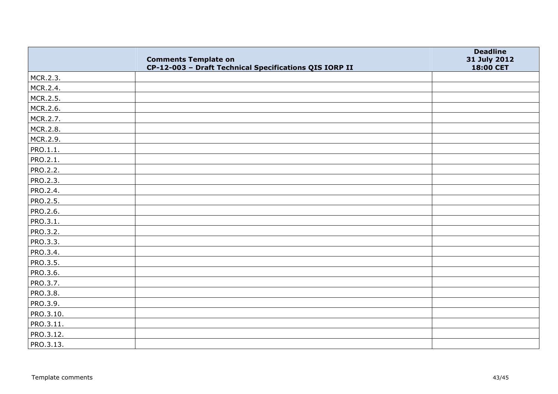|           | <b>Comments Template on</b><br>CP-12-003 - Draft Technical Specifications QIS IORP II | <b>Deadline</b><br>31 July 2012<br>18:00 CET |
|-----------|---------------------------------------------------------------------------------------|----------------------------------------------|
| MCR.2.3.  |                                                                                       |                                              |
| MCR.2.4.  |                                                                                       |                                              |
| MCR.2.5.  |                                                                                       |                                              |
| MCR.2.6.  |                                                                                       |                                              |
| MCR.2.7.  |                                                                                       |                                              |
| MCR.2.8.  |                                                                                       |                                              |
| MCR.2.9.  |                                                                                       |                                              |
| PRO.1.1.  |                                                                                       |                                              |
| PRO.2.1.  |                                                                                       |                                              |
| PRO.2.2.  |                                                                                       |                                              |
| PRO.2.3.  |                                                                                       |                                              |
| PRO.2.4.  |                                                                                       |                                              |
| PRO.2.5.  |                                                                                       |                                              |
| PRO.2.6.  |                                                                                       |                                              |
| PRO.3.1.  |                                                                                       |                                              |
| PRO.3.2.  |                                                                                       |                                              |
| PRO.3.3.  |                                                                                       |                                              |
| PRO.3.4.  |                                                                                       |                                              |
| PRO.3.5.  |                                                                                       |                                              |
| PRO.3.6.  |                                                                                       |                                              |
| PRO.3.7.  |                                                                                       |                                              |
| PRO.3.8.  |                                                                                       |                                              |
| PRO.3.9.  |                                                                                       |                                              |
| PRO.3.10. |                                                                                       |                                              |
| PRO.3.11. |                                                                                       |                                              |
| PRO.3.12. |                                                                                       |                                              |
| PRO.3.13. |                                                                                       |                                              |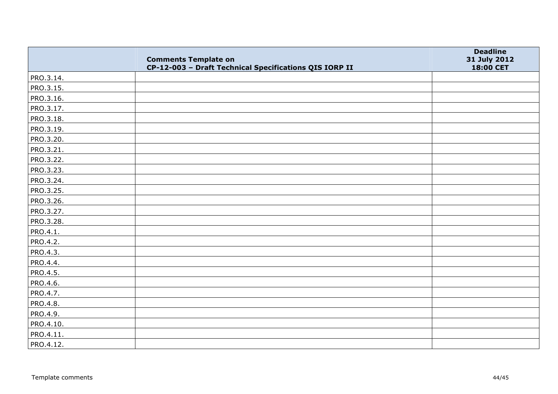|           | <b>Comments Template on</b><br>CP-12-003 - Draft Technical Specifications QIS IORP II | <b>Deadline</b><br>31 July 2012<br>18:00 CET |
|-----------|---------------------------------------------------------------------------------------|----------------------------------------------|
| PRO.3.14. |                                                                                       |                                              |
| PRO.3.15. |                                                                                       |                                              |
| PRO.3.16. |                                                                                       |                                              |
| PRO.3.17. |                                                                                       |                                              |
| PRO.3.18. |                                                                                       |                                              |
| PRO.3.19. |                                                                                       |                                              |
| PRO.3.20. |                                                                                       |                                              |
| PRO.3.21. |                                                                                       |                                              |
| PRO.3.22. |                                                                                       |                                              |
| PRO.3.23. |                                                                                       |                                              |
| PRO.3.24. |                                                                                       |                                              |
| PRO.3.25. |                                                                                       |                                              |
| PRO.3.26. |                                                                                       |                                              |
| PRO.3.27. |                                                                                       |                                              |
| PRO.3.28. |                                                                                       |                                              |
| PRO.4.1.  |                                                                                       |                                              |
| PRO.4.2.  |                                                                                       |                                              |
| PRO.4.3.  |                                                                                       |                                              |
| PRO.4.4.  |                                                                                       |                                              |
| PRO.4.5.  |                                                                                       |                                              |
| PRO.4.6.  |                                                                                       |                                              |
| PRO.4.7.  |                                                                                       |                                              |
| PRO.4.8.  |                                                                                       |                                              |
| PRO.4.9.  |                                                                                       |                                              |
| PRO.4.10. |                                                                                       |                                              |
| PRO.4.11. |                                                                                       |                                              |
| PRO.4.12. |                                                                                       |                                              |